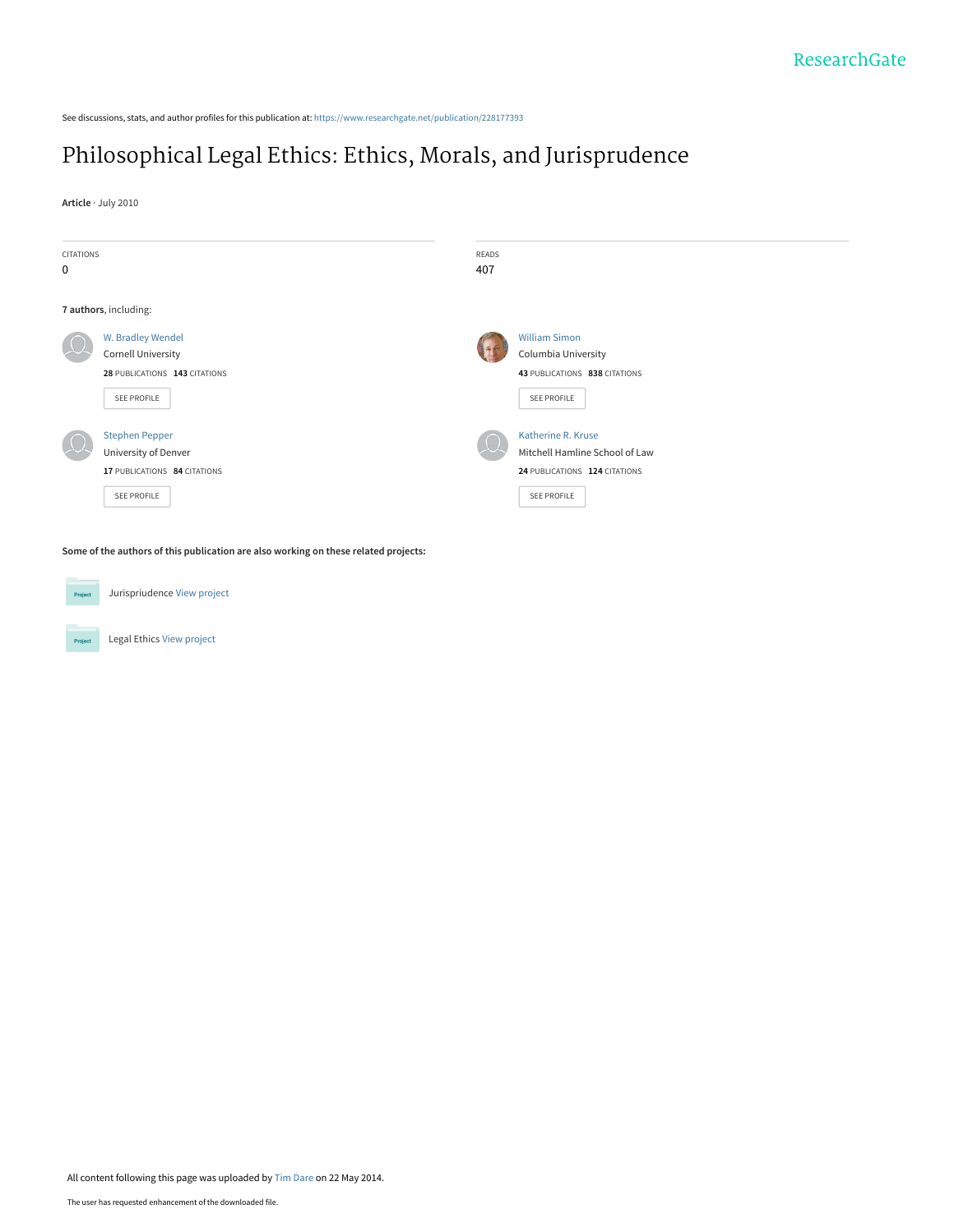See discussions, stats, and author profiles for this publication at: [https://www.researchgate.net/publication/228177393](https://www.researchgate.net/publication/228177393_Philosophical_Legal_Ethics_Ethics_Morals_and_Jurisprudence?enrichId=rgreq-e5e95f6f3c98b6d4c50dc2849e00faa9-XXX&enrichSource=Y292ZXJQYWdlOzIyODE3NzM5MztBUzo5OTY4MTU4OTc5Mjc3MkAxNDAwNzc3MzUxNDY5&el=1_x_2&_esc=publicationCoverPdf)

# [Philosophical Legal Ethics: Ethics, Morals, and Jurisprudence](https://www.researchgate.net/publication/228177393_Philosophical_Legal_Ethics_Ethics_Morals_and_Jurisprudence?enrichId=rgreq-e5e95f6f3c98b6d4c50dc2849e00faa9-XXX&enrichSource=Y292ZXJQYWdlOzIyODE3NzM5MztBUzo5OTY4MTU4OTc5Mjc3MkAxNDAwNzc3MzUxNDY5&el=1_x_3&_esc=publicationCoverPdf)

**Article** · July 2010



**Some of the authors of this publication are also working on these related projects:**

Jurispriudence [View project](https://www.researchgate.net/project/Jurispriudence?enrichId=rgreq-e5e95f6f3c98b6d4c50dc2849e00faa9-XXX&enrichSource=Y292ZXJQYWdlOzIyODE3NzM5MztBUzo5OTY4MTU4OTc5Mjc3MkAxNDAwNzc3MzUxNDY5&el=1_x_9&_esc=publicationCoverPdf) Project Project Legal Ethics [View project](https://www.researchgate.net/project/Legal-Ethics-2?enrichId=rgreq-e5e95f6f3c98b6d4c50dc2849e00faa9-XXX&enrichSource=Y292ZXJQYWdlOzIyODE3NzM5MztBUzo5OTY4MTU4OTc5Mjc3MkAxNDAwNzc3MzUxNDY5&el=1_x_9&_esc=publicationCoverPdf)

All content following this page was uploaded by [Tim Dare](https://www.researchgate.net/profile/Tim_Dare?enrichId=rgreq-e5e95f6f3c98b6d4c50dc2849e00faa9-XXX&enrichSource=Y292ZXJQYWdlOzIyODE3NzM5MztBUzo5OTY4MTU4OTc5Mjc3MkAxNDAwNzc3MzUxNDY5&el=1_x_10&_esc=publicationCoverPdf) on 22 May 2014.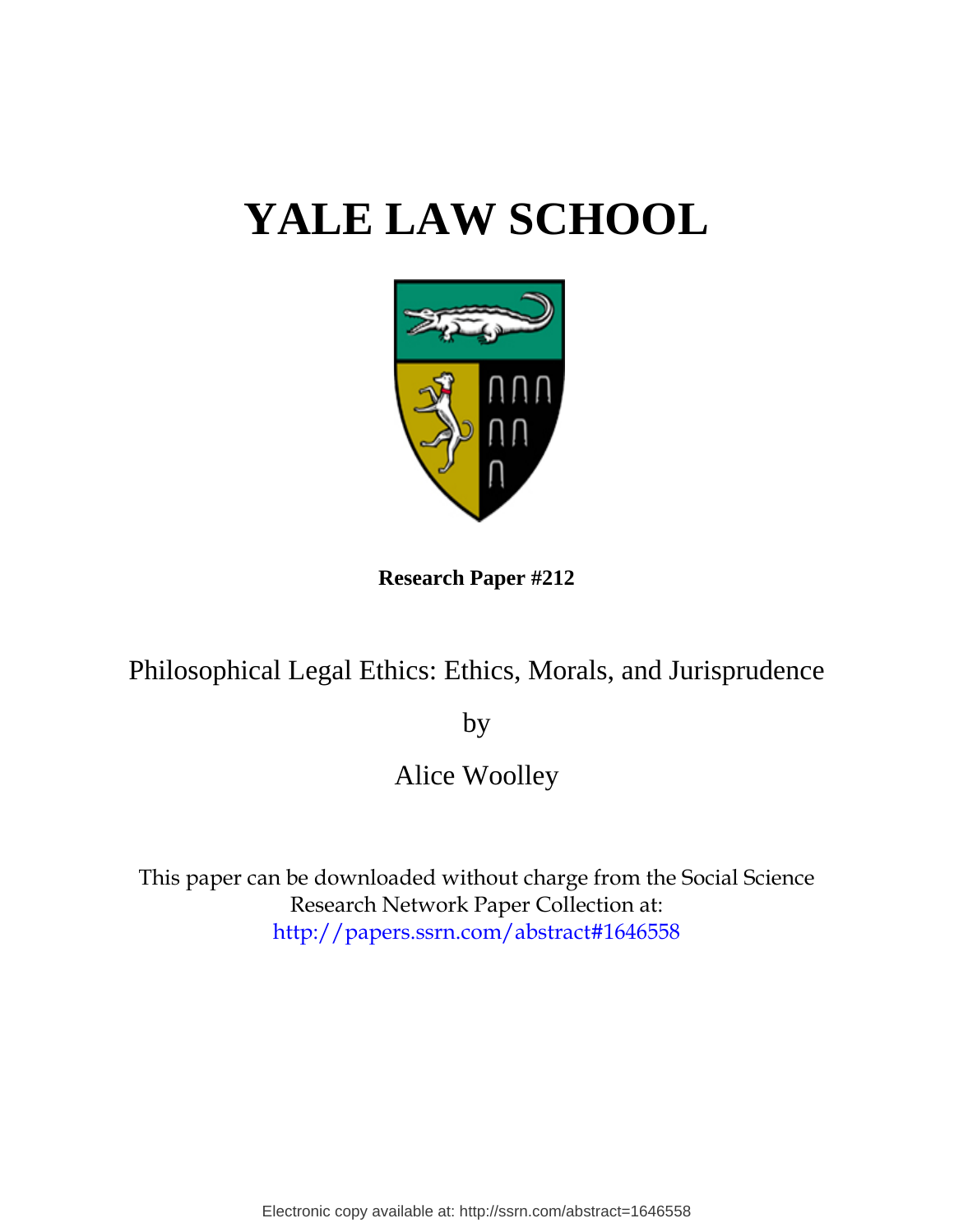# **YALE LAW SCHOOL**



**Research Paper #212** 

Philosophical Legal Ethics: Ethics, Morals, and Jurisprudence

by

Alice Woolley

This paper can be downloaded without charge from the Social Science Research Network Paper Collection at: http://papers.ssrn.com/abstract#1646558

Electronic copy available at: http://ssrn.com/abstract=1646558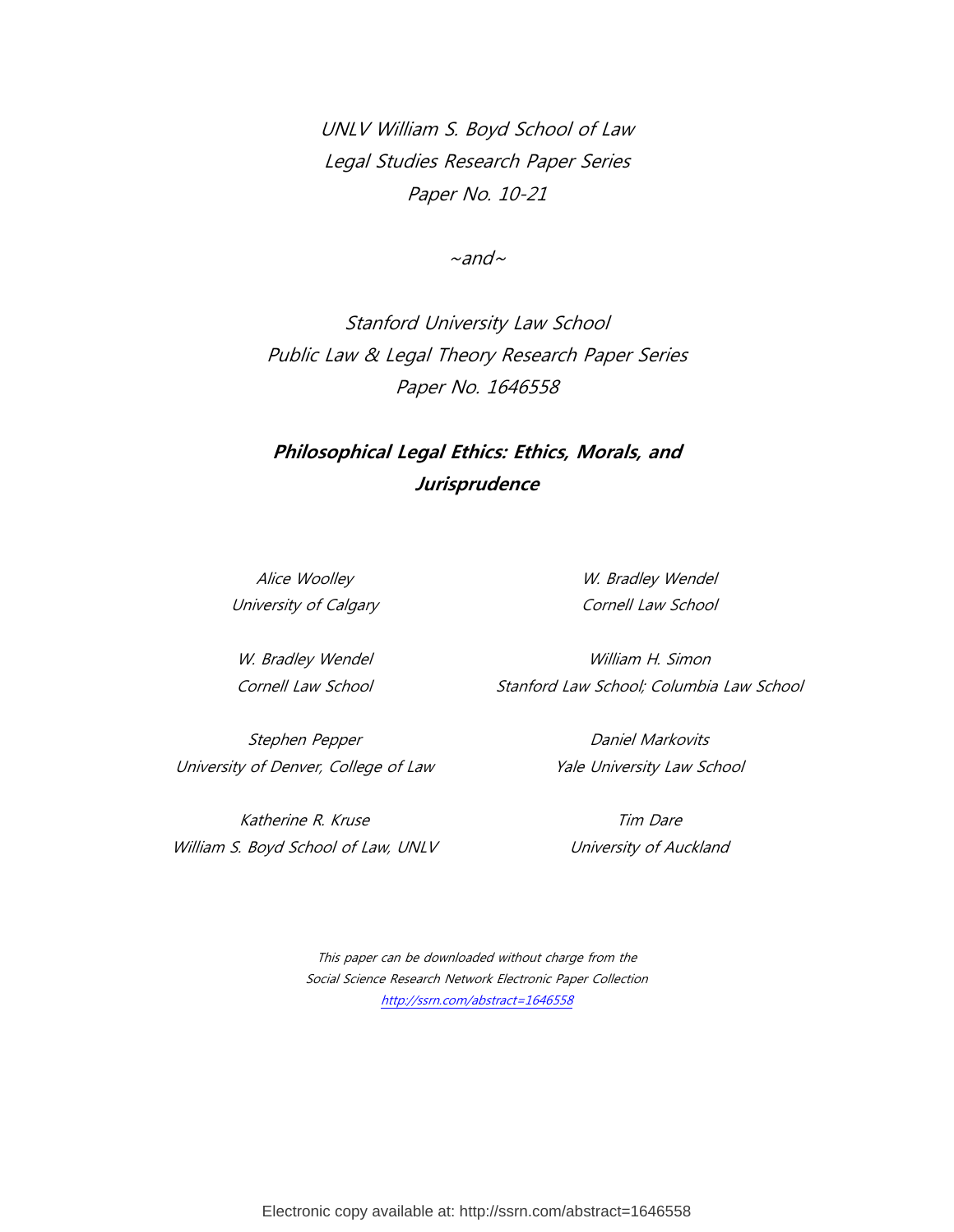UNLV William S. Boyd School of Law Legal Studies Research Paper Series Paper No. 10-21

 $\sim$ and $\sim$ 

Stanford University Law School Public Law & Legal Theory Research Paper Series Paper No. 1646558

# **Philosophical Legal Ethics: Ethics, Morals, and Jurisprudence**

University of Calgary Cornell Law School

Alice Woolley **W. Bradley Wendel** 

W. Bradley Wendel William H. Simon Cornell Law School Stanford Law School; Columbia Law School

Stephen Pepper **Daniel Markovits** University of Denver, College of Law Yale University Law School

Katherine R. Kruse Tim Dare William S. Boyd School of Law, UNLV University of Auckland

This paper can be downloaded without charge from the Social Science Research Network Electronic Paper Collection http://ssrn.com/abstract=1646558

Electronic copy available at: http://ssrn.com/abstract=1646558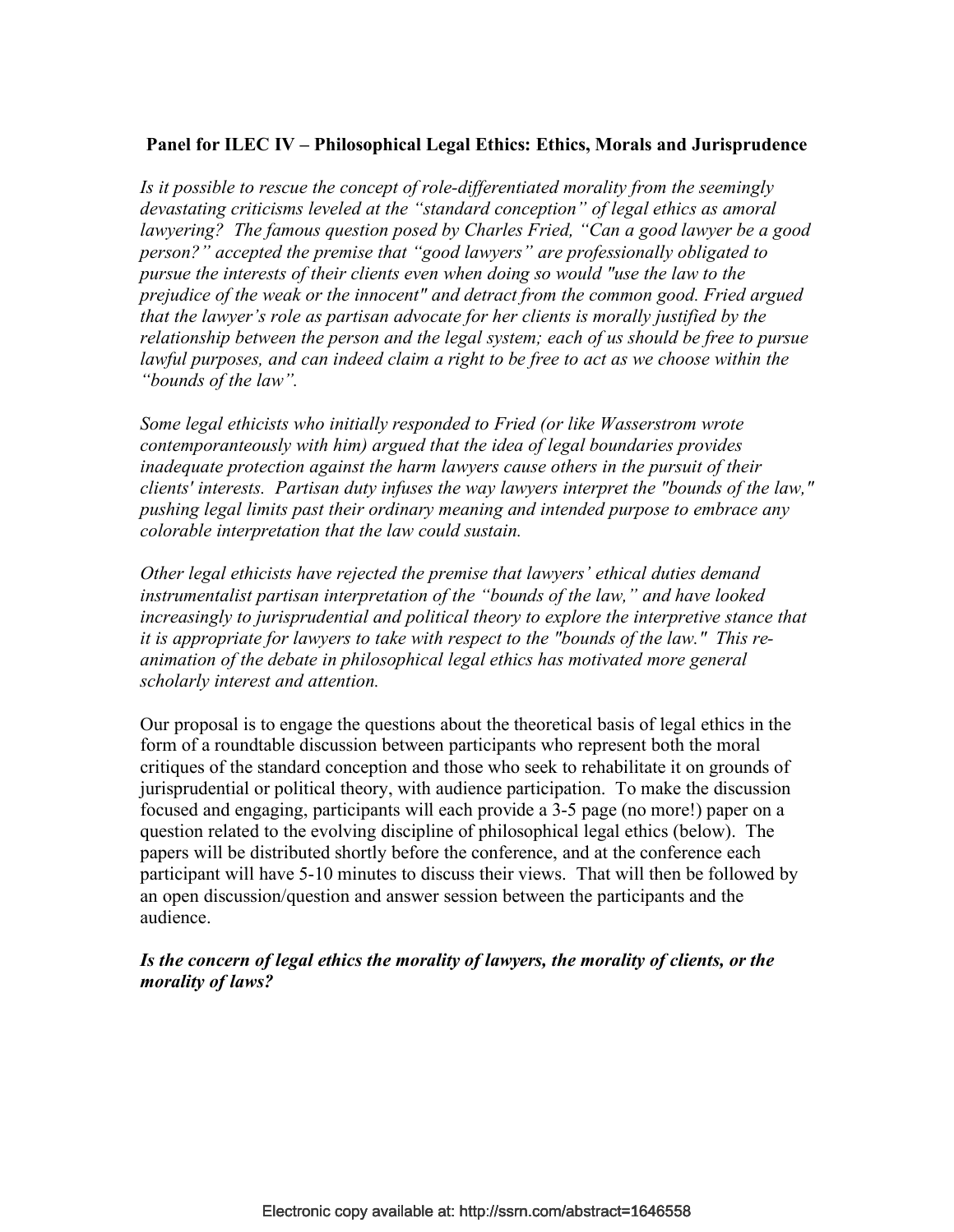# **Panel for ILEC IV – Philosophical Legal Ethics: Ethics, Morals and Jurisprudence**

*Is it possible to rescue the concept of role-differentiated morality from the seemingly devastating criticisms leveled at the "standard conception" of legal ethics as amoral lawyering? The famous question posed by Charles Fried, "Can a good lawyer be a good person?" accepted the premise that "good lawyers" are professionally obligated to pursue the interests of their clients even when doing so would "use the law to the prejudice of the weak or the innocent" and detract from the common good. Fried argued that the lawyer's role as partisan advocate for her clients is morally justified by the relationship between the person and the legal system; each of us should be free to pursue lawful purposes, and can indeed claim a right to be free to act as we choose within the "bounds of the law".* 

*Some legal ethicists who initially responded to Fried (or like Wasserstrom wrote contemporanteously with him) argued that the idea of legal boundaries provides inadequate protection against the harm lawyers cause others in the pursuit of their clients' interests. Partisan duty infuses the way lawyers interpret the "bounds of the law," pushing legal limits past their ordinary meaning and intended purpose to embrace any colorable interpretation that the law could sustain.* 

*Other legal ethicists have rejected the premise that lawyers' ethical duties demand instrumentalist partisan interpretation of the "bounds of the law," and have looked increasingly to jurisprudential and political theory to explore the interpretive stance that it is appropriate for lawyers to take with respect to the "bounds of the law." This reanimation of the debate in philosophical legal ethics has motivated more general scholarly interest and attention.*

Our proposal is to engage the questions about the theoretical basis of legal ethics in the form of a roundtable discussion between participants who represent both the moral critiques of the standard conception and those who seek to rehabilitate it on grounds of jurisprudential or political theory, with audience participation. To make the discussion focused and engaging, participants will each provide a 3-5 page (no more!) paper on a question related to the evolving discipline of philosophical legal ethics (below). The papers will be distributed shortly before the conference, and at the conference each participant will have 5-10 minutes to discuss their views. That will then be followed by an open discussion/question and answer session between the participants and the audience.

# Is the concern of legal ethics the morality of lawyers, the morality of clients, or the *morality of laws?*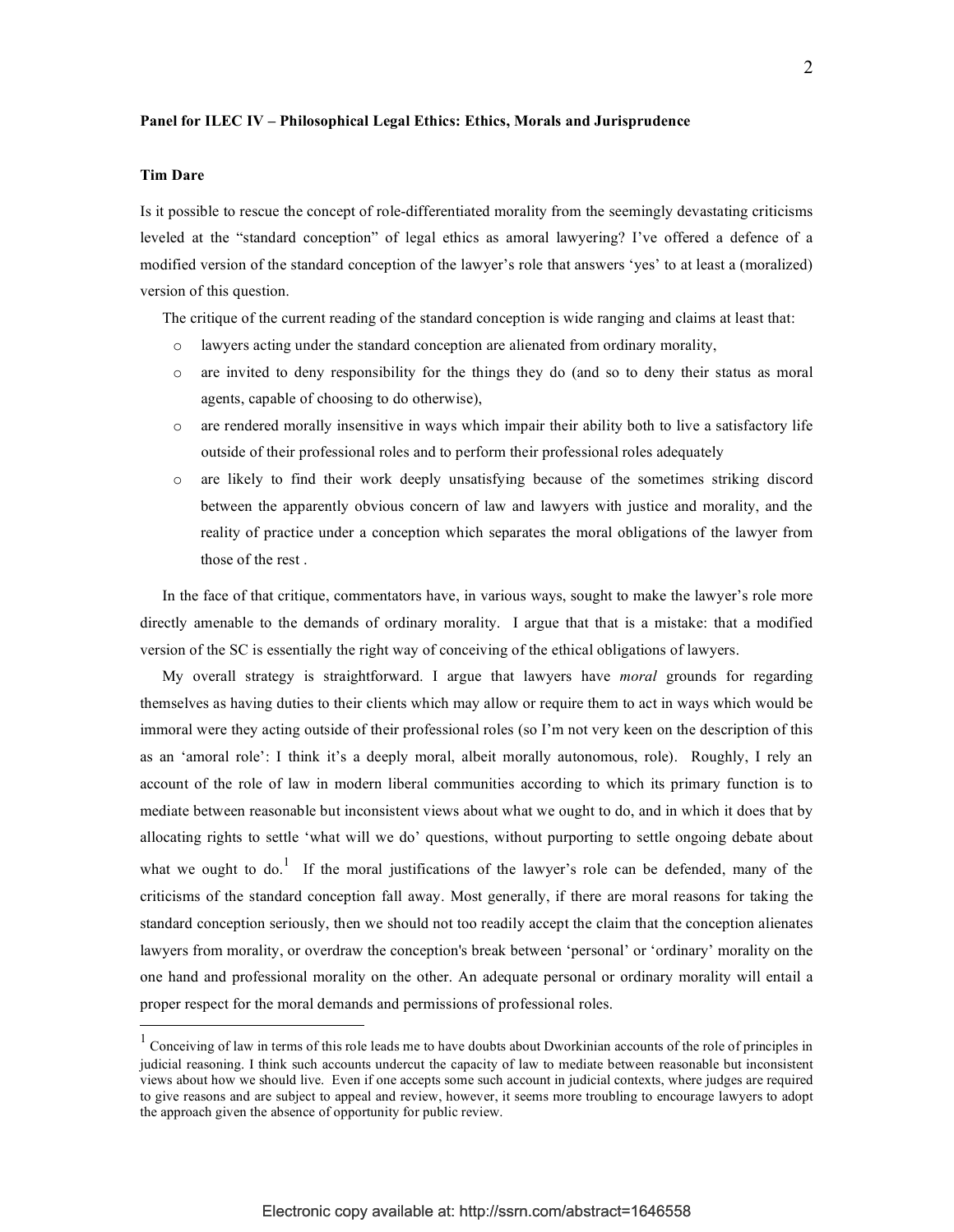#### **Panel for ILEC IV – Philosophical Legal Ethics: Ethics, Morals and Jurisprudence**

#### **Tim Dare**

Is it possible to rescue the concept of role-differentiated morality from the seemingly devastating criticisms leveled at the "standard conception" of legal ethics as amoral lawyering? I've offered a defence of a modified version of the standard conception of the lawyer's role that answers 'yes' to at least a (moralized) version of this question.

The critique of the current reading of the standard conception is wide ranging and claims at least that:

- o lawyers acting under the standard conception are alienated from ordinary morality,
- o are invited to deny responsibility for the things they do (and so to deny their status as moral agents, capable of choosing to do otherwise),
- o are rendered morally insensitive in ways which impair their ability both to live a satisfactory life outside of their professional roles and to perform their professional roles adequately
- o are likely to find their work deeply unsatisfying because of the sometimes striking discord between the apparently obvious concern of law and lawyers with justice and morality, and the reality of practice under a conception which separates the moral obligations of the lawyer from those of the rest .

In the face of that critique, commentators have, in various ways, sought to make the lawyer's role more directly amenable to the demands of ordinary morality. I argue that that is a mistake: that a modified version of the SC is essentially the right way of conceiving of the ethical obligations of lawyers.

My overall strategy is straightforward. I argue that lawyers have *moral* grounds for regarding themselves as having duties to their clients which may allow or require them to act in ways which would be immoral were they acting outside of their professional roles (so I'm not very keen on the description of this as an 'amoral role': I think it's a deeply moral, albeit morally autonomous, role). Roughly, I rely an account of the role of law in modern liberal communities according to which its primary function is to mediate between reasonable but inconsistent views about what we ought to do, and in which it does that by allocating rights to settle 'what will we do' questions, without purporting to settle ongoing debate about what we ought to do.<sup>1</sup> If the moral justifications of the lawyer's role can be defended, many of the criticisms of the standard conception fall away. Most generally, if there are moral reasons for taking the standard conception seriously, then we should not too readily accept the claim that the conception alienates lawyers from morality, or overdraw the conception's break between 'personal' or 'ordinary' morality on the one hand and professional morality on the other. An adequate personal or ordinary morality will entail a proper respect for the moral demands and permissions of professional roles.

 $1$  Conceiving of law in terms of this role leads me to have doubts about Dworkinian accounts of the role of principles in judicial reasoning. I think such accounts undercut the capacity of law to mediate between reasonable but inconsistent views about how we should live. Even if one accepts some such account in judicial contexts, where judges are required to give reasons and are subject to appeal and review, however, it seems more troubling to encourage lawyers to adopt the approach given the absence of opportunity for public review.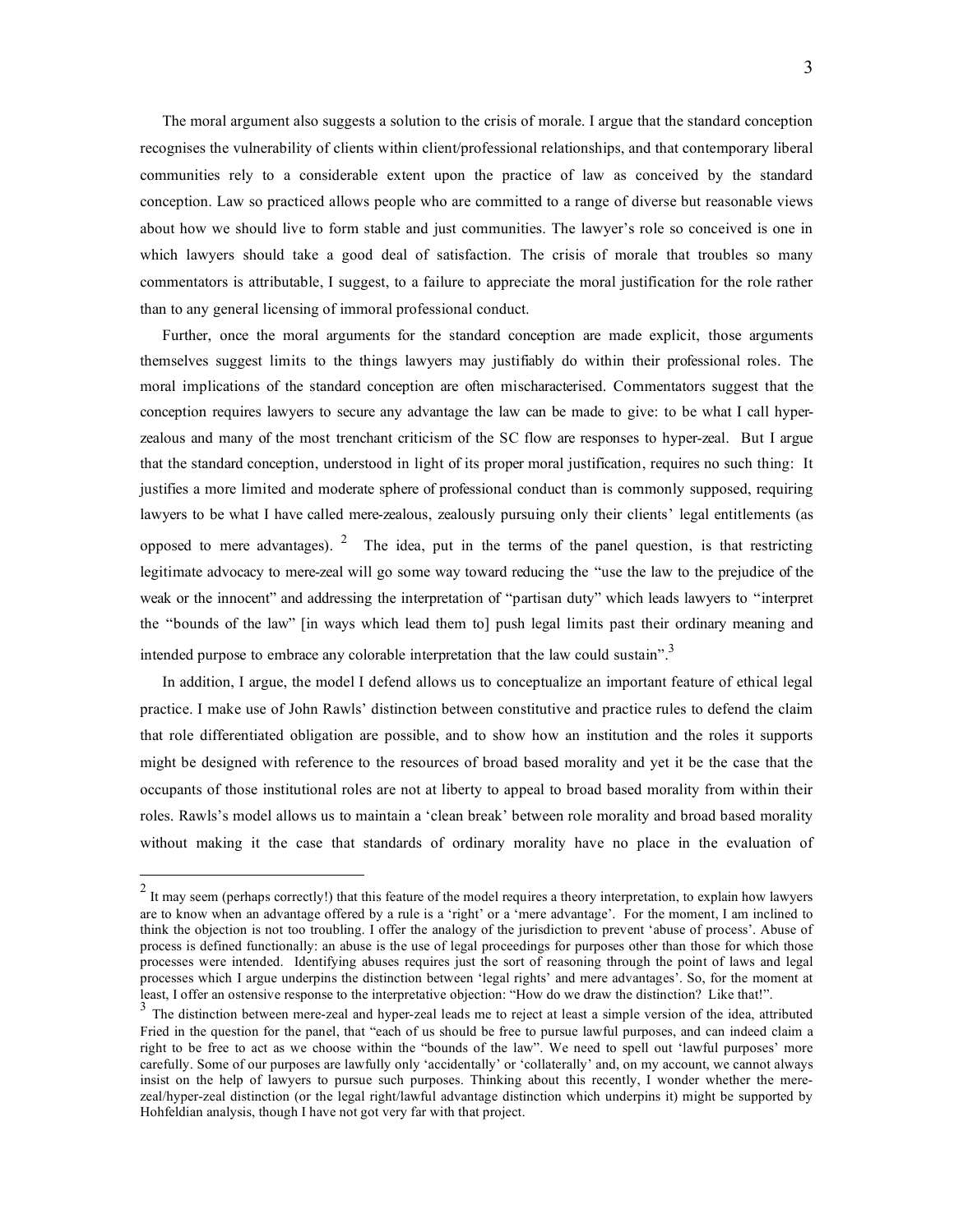The moral argument also suggests a solution to the crisis of morale. I argue that the standard conception recognises the vulnerability of clients within client/professional relationships, and that contemporary liberal communities rely to a considerable extent upon the practice of law as conceived by the standard conception. Law so practiced allows people who are committed to a range of diverse but reasonable views about how we should live to form stable and just communities. The lawyer's role so conceived is one in which lawyers should take a good deal of satisfaction. The crisis of morale that troubles so many commentators is attributable, I suggest, to a failure to appreciate the moral justification for the role rather than to any general licensing of immoral professional conduct.

Further, once the moral arguments for the standard conception are made explicit, those arguments themselves suggest limits to the things lawyers may justifiably do within their professional roles. The moral implications of the standard conception are often mischaracterised. Commentators suggest that the conception requires lawyers to secure any advantage the law can be made to give: to be what I call hyperzealous and many of the most trenchant criticism of the SC flow are responses to hyper-zeal. But I argue that the standard conception, understood in light of its proper moral justification, requires no such thing: It justifies a more limited and moderate sphere of professional conduct than is commonly supposed, requiring lawyers to be what I have called mere-zealous, zealously pursuing only their clients' legal entitlements (as opposed to mere advantages). <sup>2</sup> The idea, put in the terms of the panel question, is that restricting legitimate advocacy to mere-zeal will go some way toward reducing the "use the law to the prejudice of the weak or the innocent" and addressing the interpretation of "partisan duty" which leads lawyers to "interpret the "bounds of the law" [in ways which lead them to] push legal limits past their ordinary meaning and intended purpose to embrace any colorable interpretation that the law could sustain".<sup>3</sup>

In addition, I argue, the model I defend allows us to conceptualize an important feature of ethical legal practice. I make use of John Rawls' distinction between constitutive and practice rules to defend the claim that role differentiated obligation are possible, and to show how an institution and the roles it supports might be designed with reference to the resources of broad based morality and yet it be the case that the occupants of those institutional roles are not at liberty to appeal to broad based morality from within their roles. Rawls's model allows us to maintain a 'clean break' between role morality and broad based morality without making it the case that standards of ordinary morality have no place in the evaluation of

<sup>&</sup>lt;sup>2</sup> It may seem (perhaps correctly!) that this feature of the model requires a theory interpretation, to explain how lawyers are to know when an advantage offered by a rule is a 'right' or a 'mere advantage'. For the moment, I am inclined to think the objection is not too troubling. I offer the analogy of the jurisdiction to prevent 'abuse of process'. Abuse of process is defined functionally: an abuse is the use of legal proceedings for purposes other than those for which those processes were intended. Identifying abuses requires just the sort of reasoning through the point of laws and legal processes which I argue underpins the distinction between 'legal rights' and mere advantages'. So, for the moment at least, I offer an ostensive response to the interpretative objection: "How do we draw the distinction? Like that!".

<sup>&</sup>lt;sup>3</sup> The distinction between mere-zeal and hyper-zeal leads me to reject at least a simple version of the idea, attributed Fried in the question for the panel, that "each of us should be free to pursue lawful purposes, and can indeed claim a right to be free to act as we choose within the "bounds of the law". We need to spell out 'lawful purposes' more carefully. Some of our purposes are lawfully only 'accidentally' or 'collaterally' and, on my account, we cannot always insist on the help of lawyers to pursue such purposes. Thinking about this recently, I wonder whether the merezeal/hyper-zeal distinction (or the legal right/lawful advantage distinction which underpins it) might be supported by Hohfeldian analysis, though I have not got very far with that project.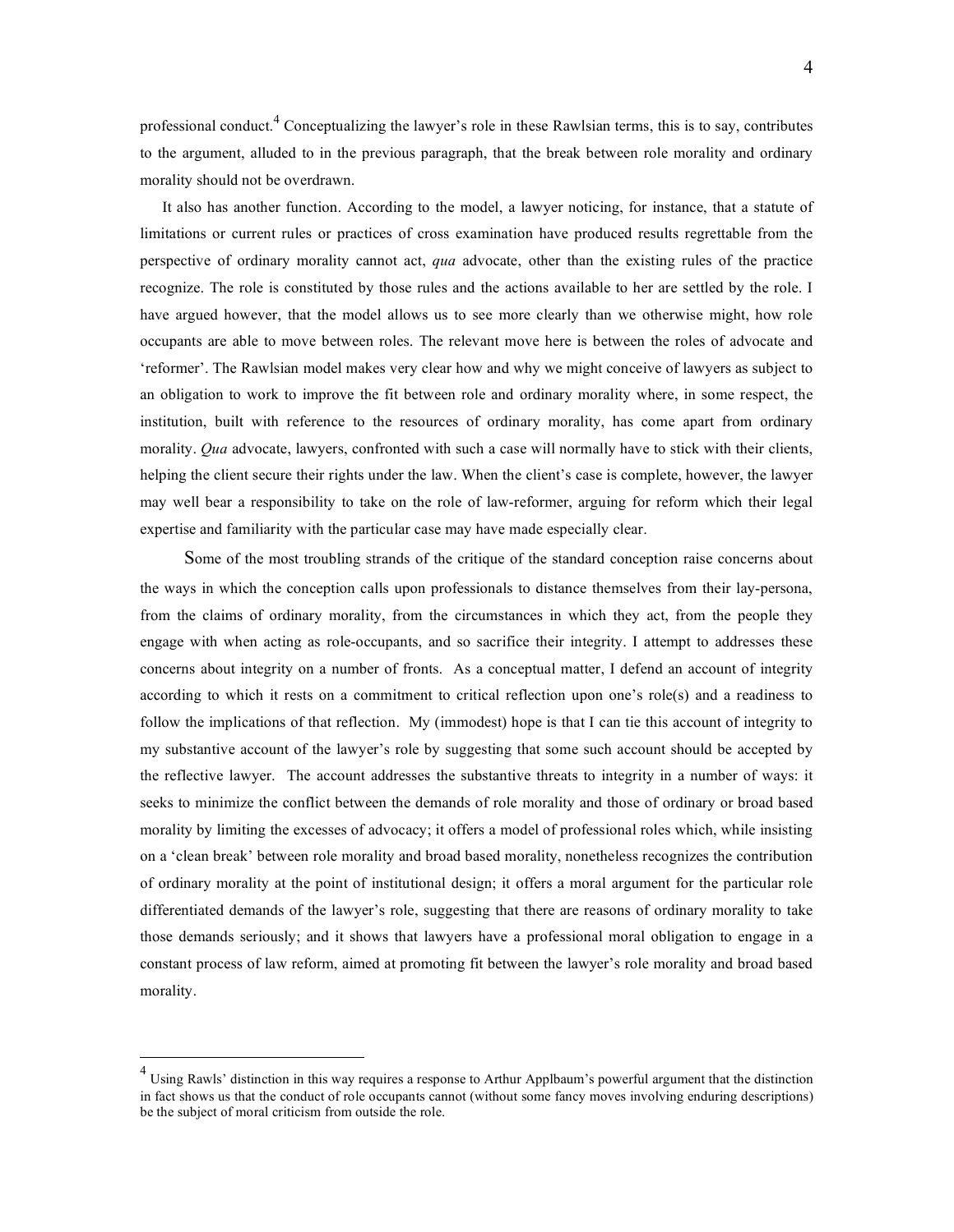professional conduct.<sup>4</sup> Conceptualizing the lawyer's role in these Rawlsian terms, this is to say, contributes to the argument, alluded to in the previous paragraph, that the break between role morality and ordinary morality should not be overdrawn.

It also has another function. According to the model, a lawyer noticing, for instance, that a statute of limitations or current rules or practices of cross examination have produced results regrettable from the perspective of ordinary morality cannot act, *qua* advocate, other than the existing rules of the practice recognize. The role is constituted by those rules and the actions available to her are settled by the role. I have argued however, that the model allows us to see more clearly than we otherwise might, how role occupants are able to move between roles. The relevant move here is between the roles of advocate and 'reformer'. The Rawlsian model makes very clear how and why we might conceive of lawyers as subject to an obligation to work to improve the fit between role and ordinary morality where, in some respect, the institution, built with reference to the resources of ordinary morality, has come apart from ordinary morality. *Qua* advocate, lawyers, confronted with such a case will normally have to stick with their clients, helping the client secure their rights under the law. When the client's case is complete, however, the lawyer may well bear a responsibility to take on the role of law-reformer, arguing for reform which their legal expertise and familiarity with the particular case may have made especially clear.

Some of the most troubling strands of the critique of the standard conception raise concerns about the ways in which the conception calls upon professionals to distance themselves from their lay-persona, from the claims of ordinary morality, from the circumstances in which they act, from the people they engage with when acting as role-occupants, and so sacrifice their integrity. I attempt to addresses these concerns about integrity on a number of fronts. As a conceptual matter, I defend an account of integrity according to which it rests on a commitment to critical reflection upon one's role(s) and a readiness to follow the implications of that reflection. My (immodest) hope is that I can tie this account of integrity to my substantive account of the lawyer's role by suggesting that some such account should be accepted by the reflective lawyer. The account addresses the substantive threats to integrity in a number of ways: it seeks to minimize the conflict between the demands of role morality and those of ordinary or broad based morality by limiting the excesses of advocacy; it offers a model of professional roles which, while insisting on a 'clean break' between role morality and broad based morality, nonetheless recognizes the contribution of ordinary morality at the point of institutional design; it offers a moral argument for the particular role differentiated demands of the lawyer's role, suggesting that there are reasons of ordinary morality to take those demands seriously; and it shows that lawyers have a professional moral obligation to engage in a constant process of law reform, aimed at promoting fit between the lawyer's role morality and broad based morality.

 <sup>4</sup> Using Rawls' distinction in this way requires a response to Arthur Applbaum's powerful argument that the distinction in fact shows us that the conduct of role occupants cannot (without some fancy moves involving enduring descriptions) be the subject of moral criticism from outside the role.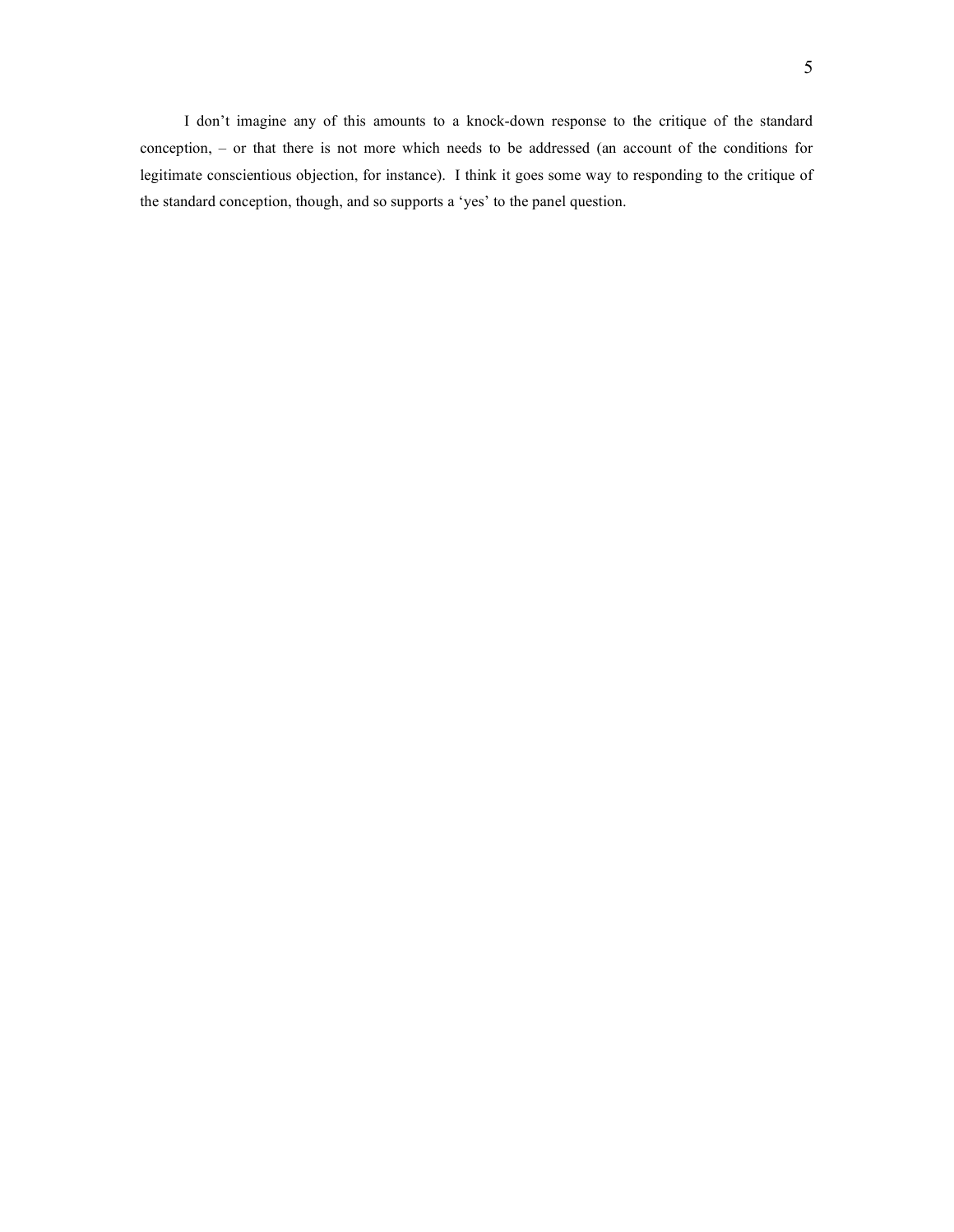I don't imagine any of this amounts to a knock-down response to the critique of the standard conception, – or that there is not more which needs to be addressed (an account of the conditions for legitimate conscientious objection, for instance). I think it goes some way to responding to the critique of the standard conception, though, and so supports a 'yes' to the panel question.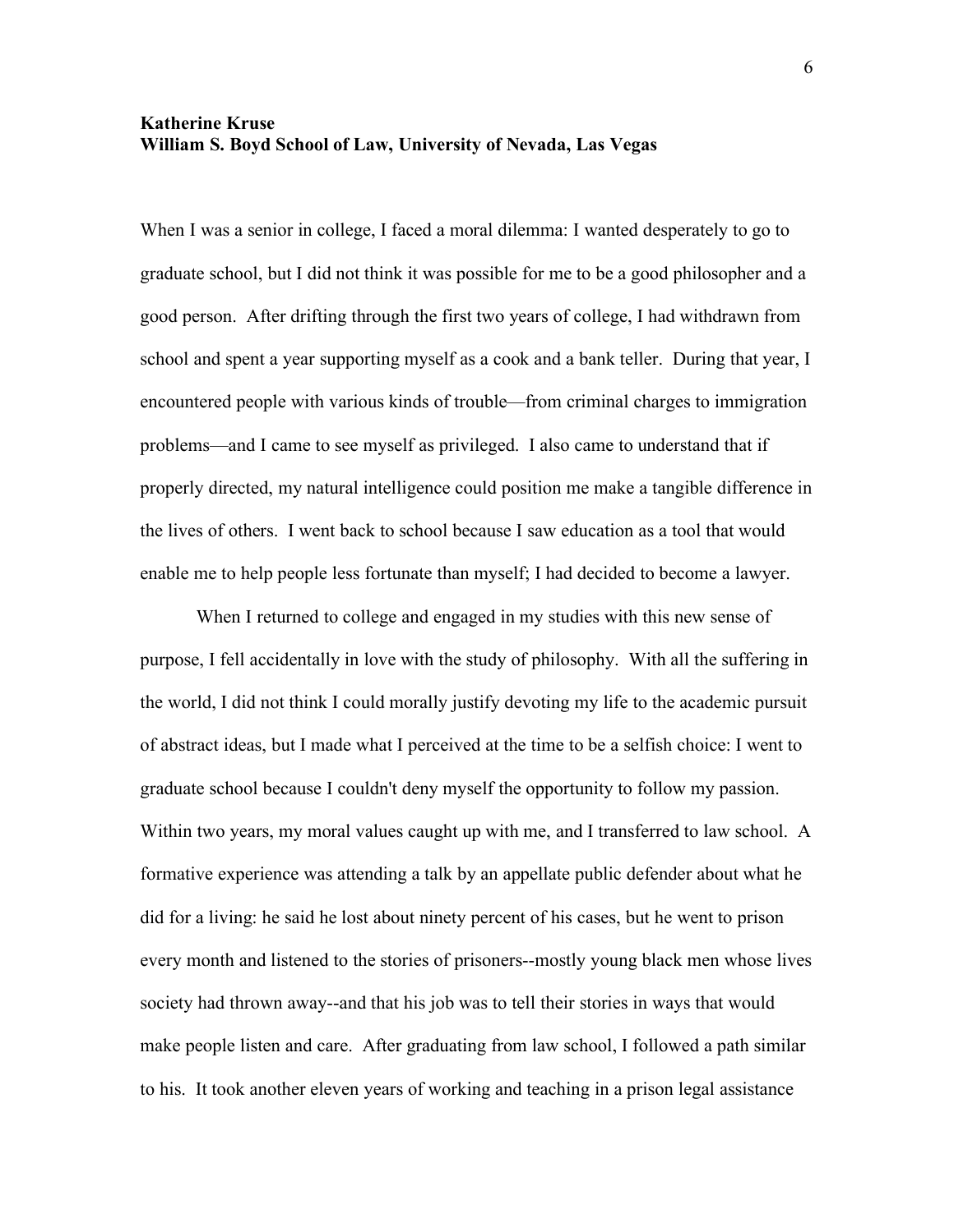# **Katherine Kruse William S. Boyd School of Law, University of Nevada, Las Vegas**

When I was a senior in college, I faced a moral dilemma: I wanted desperately to go to graduate school, but I did not think it was possible for me to be a good philosopher and a good person. After drifting through the first two years of college, I had withdrawn from school and spent a year supporting myself as a cook and a bank teller. During that year, I encountered people with various kinds of trouble—from criminal charges to immigration problems—and I came to see myself as privileged. I also came to understand that if properly directed, my natural intelligence could position me make a tangible difference in the lives of others. I went back to school because I saw education as a tool that would enable me to help people less fortunate than myself; I had decided to become a lawyer.

When I returned to college and engaged in my studies with this new sense of purpose, I fell accidentally in love with the study of philosophy. With all the suffering in the world, I did not think I could morally justify devoting my life to the academic pursuit of abstract ideas, but I made what I perceived at the time to be a selfish choice: I went to graduate school because I couldn't deny myself the opportunity to follow my passion. Within two years, my moral values caught up with me, and I transferred to law school. A formative experience was attending a talk by an appellate public defender about what he did for a living: he said he lost about ninety percent of his cases, but he went to prison every month and listened to the stories of prisoners--mostly young black men whose lives society had thrown away--and that his job was to tell their stories in ways that would make people listen and care. After graduating from law school, I followed a path similar to his. It took another eleven years of working and teaching in a prison legal assistance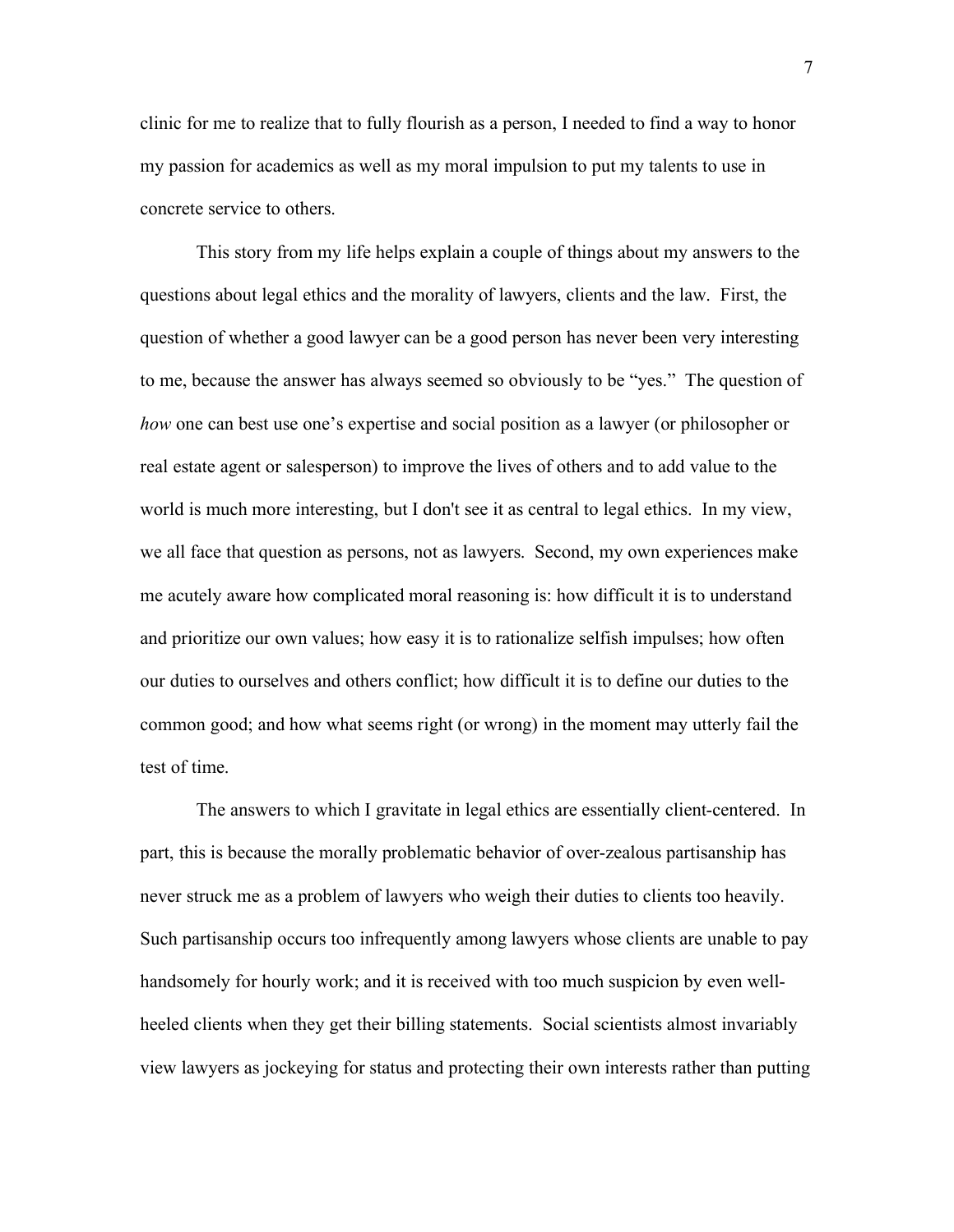clinic for me to realize that to fully flourish as a person, I needed to find a way to honor my passion for academics as well as my moral impulsion to put my talents to use in concrete service to others.

This story from my life helps explain a couple of things about my answers to the questions about legal ethics and the morality of lawyers, clients and the law. First, the question of whether a good lawyer can be a good person has never been very interesting to me, because the answer has always seemed so obviously to be "yes." The question of *how* one can best use one's expertise and social position as a lawyer (or philosopher or real estate agent or salesperson) to improve the lives of others and to add value to the world is much more interesting, but I don't see it as central to legal ethics. In my view, we all face that question as persons, not as lawyers. Second, my own experiences make me acutely aware how complicated moral reasoning is: how difficult it is to understand and prioritize our own values; how easy it is to rationalize selfish impulses; how often our duties to ourselves and others conflict; how difficult it is to define our duties to the common good; and how what seems right (or wrong) in the moment may utterly fail the test of time.

 The answers to which I gravitate in legal ethics are essentially client-centered. In part, this is because the morally problematic behavior of over-zealous partisanship has never struck me as a problem of lawyers who weigh their duties to clients too heavily. Such partisanship occurs too infrequently among lawyers whose clients are unable to pay handsomely for hourly work; and it is received with too much suspicion by even wellheeled clients when they get their billing statements. Social scientists almost invariably view lawyers as jockeying for status and protecting their own interests rather than putting

7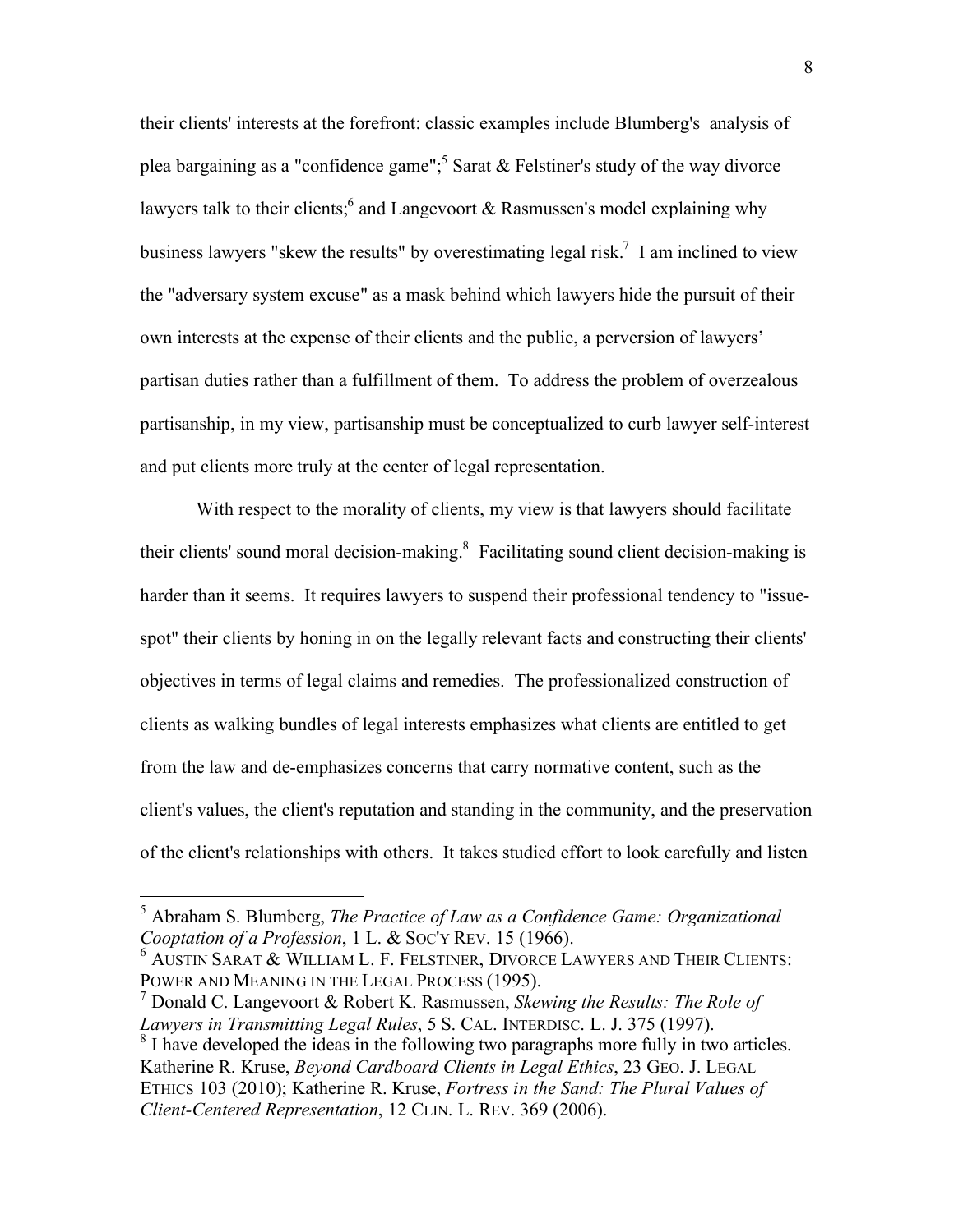their clients' interests at the forefront: classic examples include Blumberg's analysis of plea bargaining as a "confidence game";<sup>5</sup> Sarat & Felstiner's study of the way divorce lawyers talk to their clients;  $6$  and Langevoort & Rasmussen's model explaining why business lawyers "skew the results" by overestimating legal risk.<sup>7</sup> I am inclined to view the "adversary system excuse" as a mask behind which lawyers hide the pursuit of their own interests at the expense of their clients and the public, a perversion of lawyers' partisan duties rather than a fulfillment of them. To address the problem of overzealous partisanship, in my view, partisanship must be conceptualized to curb lawyer self-interest and put clients more truly at the center of legal representation.

With respect to the morality of clients, my view is that lawyers should facilitate their clients' sound moral decision-making.<sup>8</sup> Facilitating sound client decision-making is harder than it seems. It requires lawyers to suspend their professional tendency to "issuespot" their clients by honing in on the legally relevant facts and constructing their clients' objectives in terms of legal claims and remedies. The professionalized construction of clients as walking bundles of legal interests emphasizes what clients are entitled to get from the law and de-emphasizes concerns that carry normative content, such as the client's values, the client's reputation and standing in the community, and the preservation of the client's relationships with others. It takes studied effort to look carefully and listen

 <sup>5</sup> Abraham S. Blumberg, *The Practice of Law as a Confidence Game: Organizational Cooptation of a Profession*, 1 L. & SOC'Y REV. 15 (1966).

<sup>6</sup> AUSTIN SARAT & WILLIAM L. F. FELSTINER, DIVORCE LAWYERS AND THEIR CLIENTS: POWER AND MEANING IN THE LEGAL PROCESS (1995).

<sup>7</sup> Donald C. Langevoort & Robert K. Rasmussen, *Skewing the Results: The Role of Lawyers in Transmitting Legal Rules*, 5 S. CAL. INTERDISC. L. J. 375 (1997).

<sup>&</sup>lt;sup>8</sup> I have developed the ideas in the following two paragraphs more fully in two articles. Katherine R. Kruse, *Beyond Cardboard Clients in Legal Ethics*, 23 GEO. J. LEGAL ETHICS 103 (2010); Katherine R. Kruse, *Fortress in the Sand: The Plural Values of Client-Centered Representation*, 12 CLIN. L. REV. 369 (2006).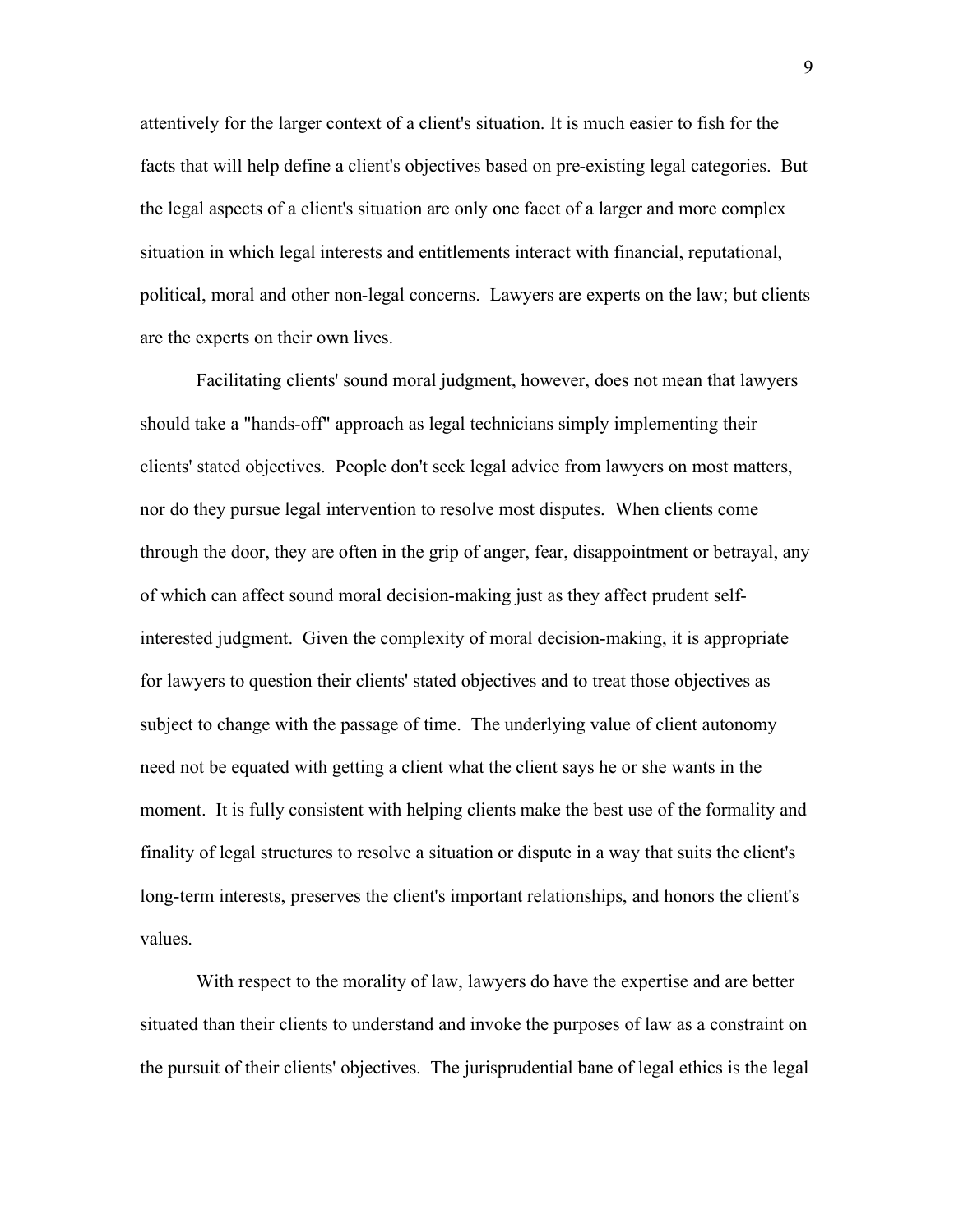attentively for the larger context of a client's situation. It is much easier to fish for the facts that will help define a client's objectives based on pre-existing legal categories. But the legal aspects of a client's situation are only one facet of a larger and more complex situation in which legal interests and entitlements interact with financial, reputational, political, moral and other non-legal concerns. Lawyers are experts on the law; but clients are the experts on their own lives.

Facilitating clients' sound moral judgment, however, does not mean that lawyers should take a "hands-off" approach as legal technicians simply implementing their clients' stated objectives. People don't seek legal advice from lawyers on most matters, nor do they pursue legal intervention to resolve most disputes. When clients come through the door, they are often in the grip of anger, fear, disappointment or betrayal, any of which can affect sound moral decision-making just as they affect prudent selfinterested judgment. Given the complexity of moral decision-making, it is appropriate for lawyers to question their clients' stated objectives and to treat those objectives as subject to change with the passage of time. The underlying value of client autonomy need not be equated with getting a client what the client says he or she wants in the moment. It is fully consistent with helping clients make the best use of the formality and finality of legal structures to resolve a situation or dispute in a way that suits the client's long-term interests, preserves the client's important relationships, and honors the client's values.

With respect to the morality of law, lawyers do have the expertise and are better situated than their clients to understand and invoke the purposes of law as a constraint on the pursuit of their clients' objectives. The jurisprudential bane of legal ethics is the legal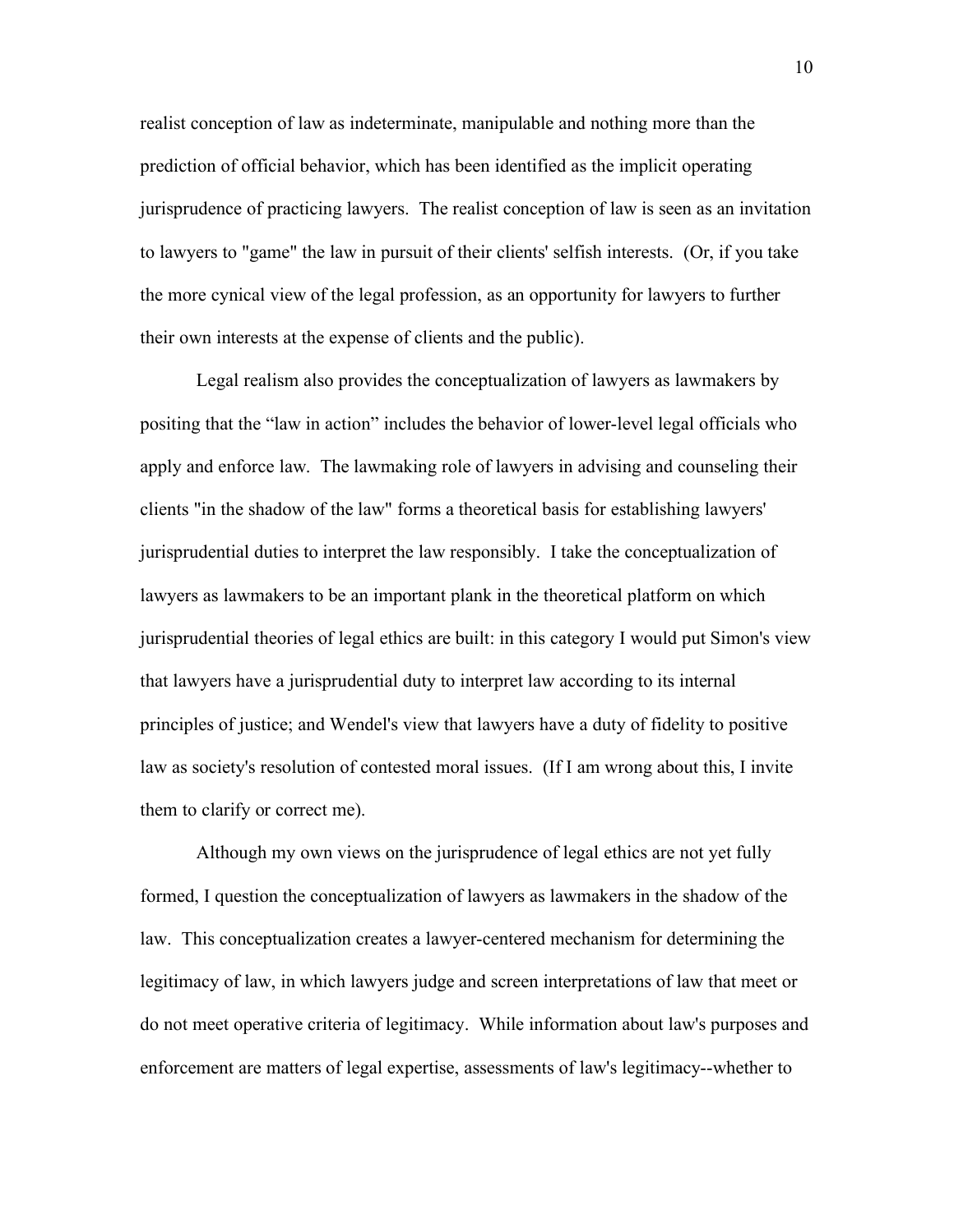realist conception of law as indeterminate, manipulable and nothing more than the prediction of official behavior, which has been identified as the implicit operating jurisprudence of practicing lawyers. The realist conception of law is seen as an invitation to lawyers to "game" the law in pursuit of their clients' selfish interests. (Or, if you take the more cynical view of the legal profession, as an opportunity for lawyers to further their own interests at the expense of clients and the public).

Legal realism also provides the conceptualization of lawyers as lawmakers by positing that the "law in action" includes the behavior of lower-level legal officials who apply and enforce law. The lawmaking role of lawyers in advising and counseling their clients "in the shadow of the law" forms a theoretical basis for establishing lawyers' jurisprudential duties to interpret the law responsibly. I take the conceptualization of lawyers as lawmakers to be an important plank in the theoretical platform on which jurisprudential theories of legal ethics are built: in this category I would put Simon's view that lawyers have a jurisprudential duty to interpret law according to its internal principles of justice; and Wendel's view that lawyers have a duty of fidelity to positive law as society's resolution of contested moral issues. (If I am wrong about this, I invite them to clarify or correct me).

Although my own views on the jurisprudence of legal ethics are not yet fully formed, I question the conceptualization of lawyers as lawmakers in the shadow of the law. This conceptualization creates a lawyer-centered mechanism for determining the legitimacy of law, in which lawyers judge and screen interpretations of law that meet or do not meet operative criteria of legitimacy. While information about law's purposes and enforcement are matters of legal expertise, assessments of law's legitimacy--whether to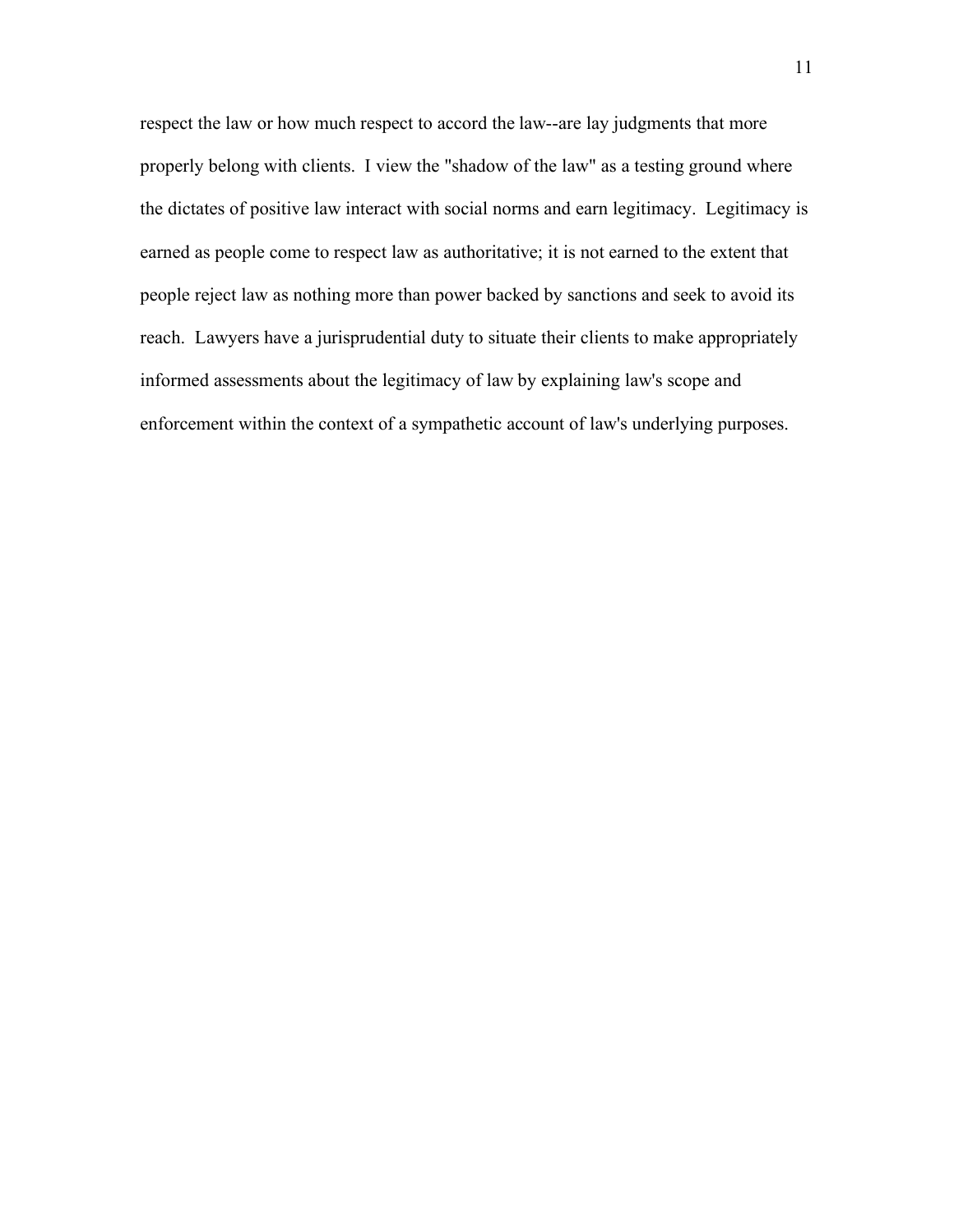respect the law or how much respect to accord the law--are lay judgments that more properly belong with clients. I view the "shadow of the law" as a testing ground where the dictates of positive law interact with social norms and earn legitimacy. Legitimacy is earned as people come to respect law as authoritative; it is not earned to the extent that people reject law as nothing more than power backed by sanctions and seek to avoid its reach. Lawyers have a jurisprudential duty to situate their clients to make appropriately informed assessments about the legitimacy of law by explaining law's scope and enforcement within the context of a sympathetic account of law's underlying purposes.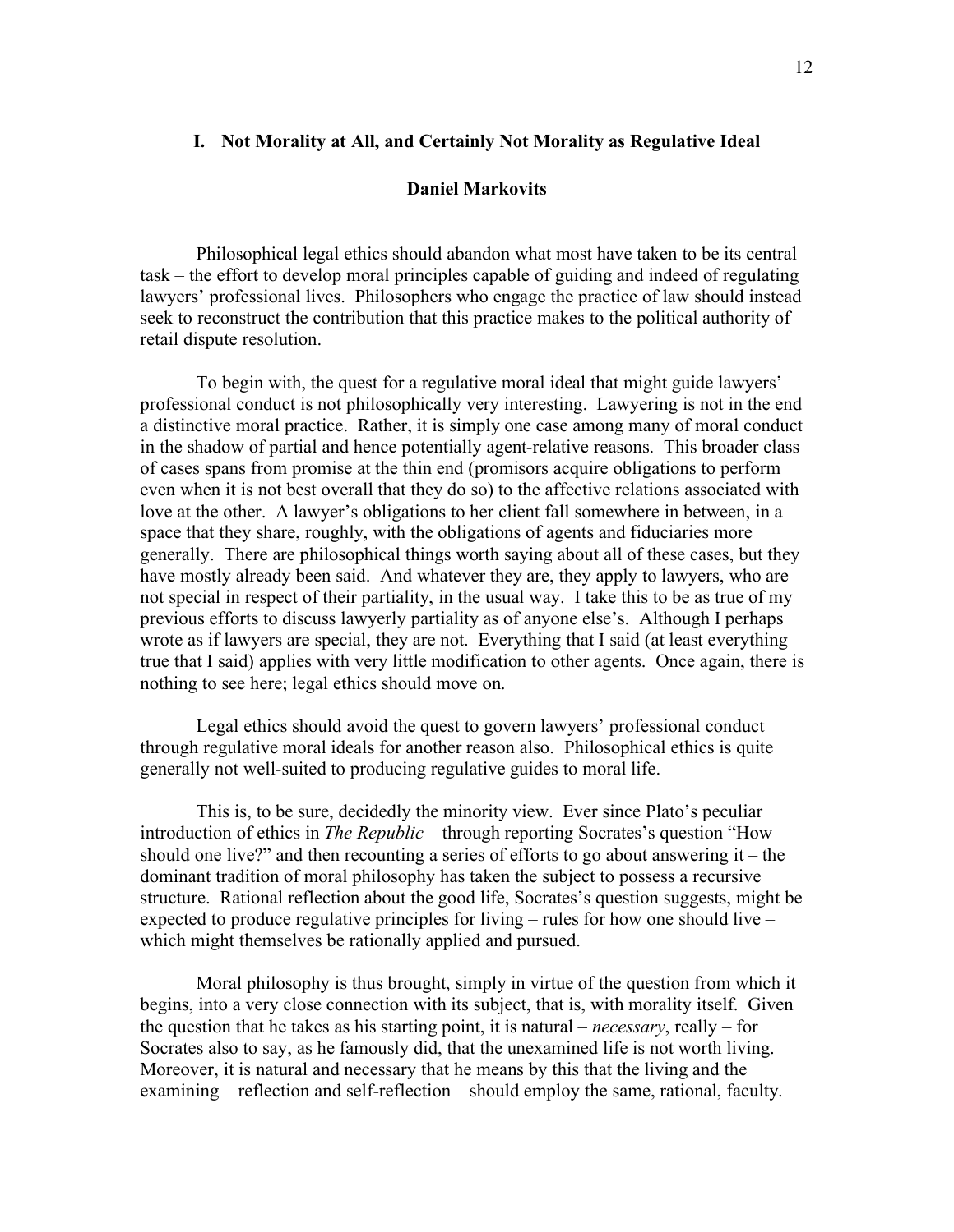### **I. Not Morality at All, and Certainly Not Morality as Regulative Ideal**

## **Daniel Markovits**

Philosophical legal ethics should abandon what most have taken to be its central task – the effort to develop moral principles capable of guiding and indeed of regulating lawyers' professional lives. Philosophers who engage the practice of law should instead seek to reconstruct the contribution that this practice makes to the political authority of retail dispute resolution.

To begin with, the quest for a regulative moral ideal that might guide lawyers' professional conduct is not philosophically very interesting. Lawyering is not in the end a distinctive moral practice. Rather, it is simply one case among many of moral conduct in the shadow of partial and hence potentially agent-relative reasons. This broader class of cases spans from promise at the thin end (promisors acquire obligations to perform even when it is not best overall that they do so) to the affective relations associated with love at the other. A lawyer's obligations to her client fall somewhere in between, in a space that they share, roughly, with the obligations of agents and fiduciaries more generally. There are philosophical things worth saying about all of these cases, but they have mostly already been said. And whatever they are, they apply to lawyers, who are not special in respect of their partiality, in the usual way. I take this to be as true of my previous efforts to discuss lawyerly partiality as of anyone else's. Although I perhaps wrote as if lawyers are special, they are not. Everything that I said (at least everything true that I said) applies with very little modification to other agents. Once again, there is nothing to see here; legal ethics should move on.

Legal ethics should avoid the quest to govern lawyers' professional conduct through regulative moral ideals for another reason also. Philosophical ethics is quite generally not well-suited to producing regulative guides to moral life.

This is, to be sure, decidedly the minority view. Ever since Plato's peculiar introduction of ethics in *The Republic* – through reporting Socrates's question "How should one live?" and then recounting a series of efforts to go about answering it – the dominant tradition of moral philosophy has taken the subject to possess a recursive structure. Rational reflection about the good life, Socrates's question suggests, might be expected to produce regulative principles for living – rules for how one should live – which might themselves be rationally applied and pursued.

Moral philosophy is thus brought, simply in virtue of the question from which it begins, into a very close connection with its subject, that is, with morality itself. Given the question that he takes as his starting point, it is natural – *necessary*, really – for Socrates also to say, as he famously did, that the unexamined life is not worth living. Moreover, it is natural and necessary that he means by this that the living and the examining – reflection and self-reflection – should employ the same, rational, faculty.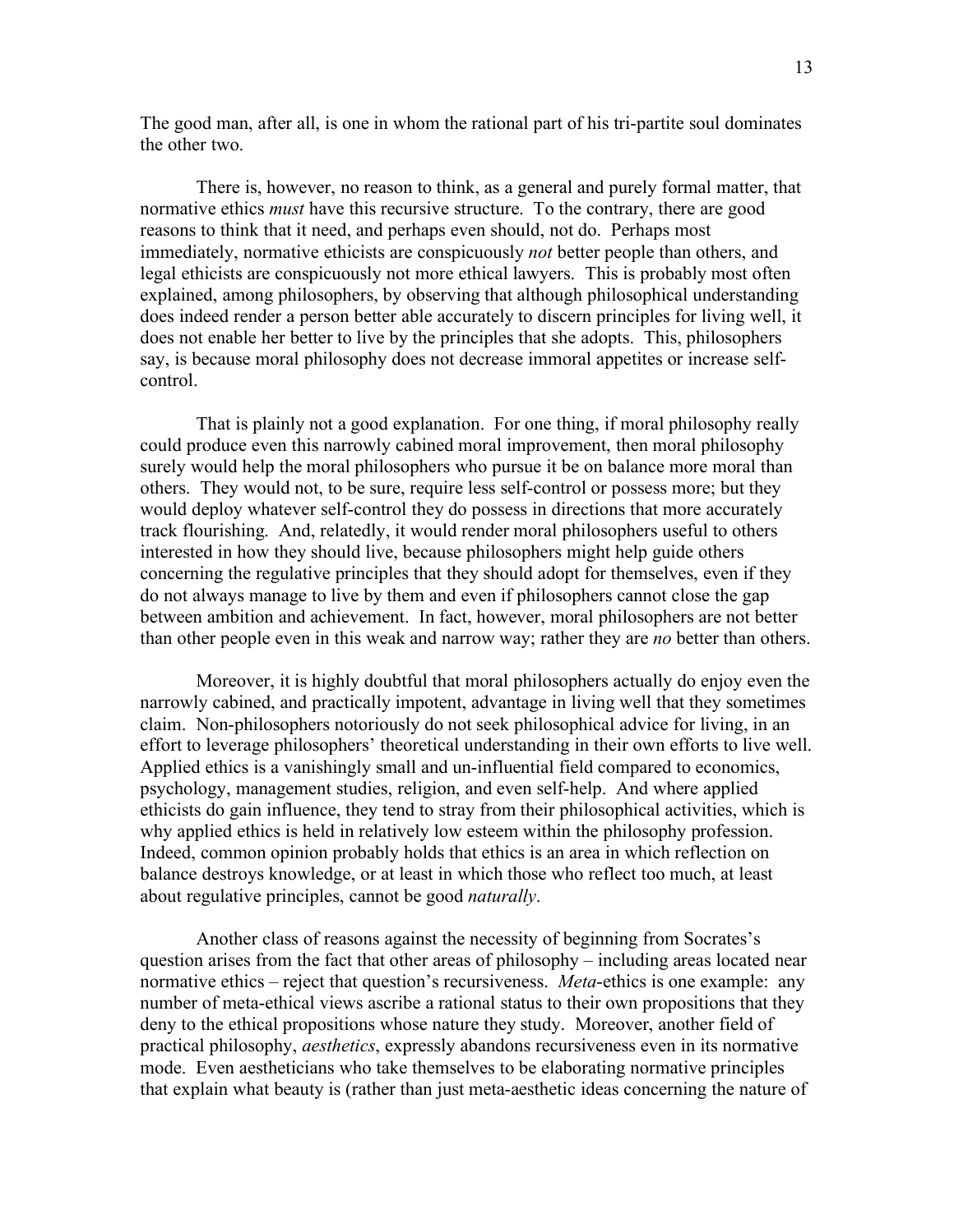The good man, after all, is one in whom the rational part of his tri-partite soul dominates the other two.

There is, however, no reason to think, as a general and purely formal matter, that normative ethics *must* have this recursive structure. To the contrary, there are good reasons to think that it need, and perhaps even should, not do. Perhaps most immediately, normative ethicists are conspicuously *not* better people than others, and legal ethicists are conspicuously not more ethical lawyers. This is probably most often explained, among philosophers, by observing that although philosophical understanding does indeed render a person better able accurately to discern principles for living well, it does not enable her better to live by the principles that she adopts. This, philosophers say, is because moral philosophy does not decrease immoral appetites or increase selfcontrol.

That is plainly not a good explanation. For one thing, if moral philosophy really could produce even this narrowly cabined moral improvement, then moral philosophy surely would help the moral philosophers who pursue it be on balance more moral than others. They would not, to be sure, require less self-control or possess more; but they would deploy whatever self-control they do possess in directions that more accurately track flourishing. And, relatedly, it would render moral philosophers useful to others interested in how they should live, because philosophers might help guide others concerning the regulative principles that they should adopt for themselves, even if they do not always manage to live by them and even if philosophers cannot close the gap between ambition and achievement. In fact, however, moral philosophers are not better than other people even in this weak and narrow way; rather they are *no* better than others.

Moreover, it is highly doubtful that moral philosophers actually do enjoy even the narrowly cabined, and practically impotent, advantage in living well that they sometimes claim. Non-philosophers notoriously do not seek philosophical advice for living, in an effort to leverage philosophers' theoretical understanding in their own efforts to live well. Applied ethics is a vanishingly small and un-influential field compared to economics, psychology, management studies, religion, and even self-help. And where applied ethicists do gain influence, they tend to stray from their philosophical activities, which is why applied ethics is held in relatively low esteem within the philosophy profession. Indeed, common opinion probably holds that ethics is an area in which reflection on balance destroys knowledge, or at least in which those who reflect too much, at least about regulative principles, cannot be good *naturally*.

Another class of reasons against the necessity of beginning from Socrates's question arises from the fact that other areas of philosophy – including areas located near normative ethics – reject that question's recursiveness. *Meta*-ethics is one example: any number of meta-ethical views ascribe a rational status to their own propositions that they deny to the ethical propositions whose nature they study. Moreover, another field of practical philosophy, *aesthetics*, expressly abandons recursiveness even in its normative mode. Even aestheticians who take themselves to be elaborating normative principles that explain what beauty is (rather than just meta-aesthetic ideas concerning the nature of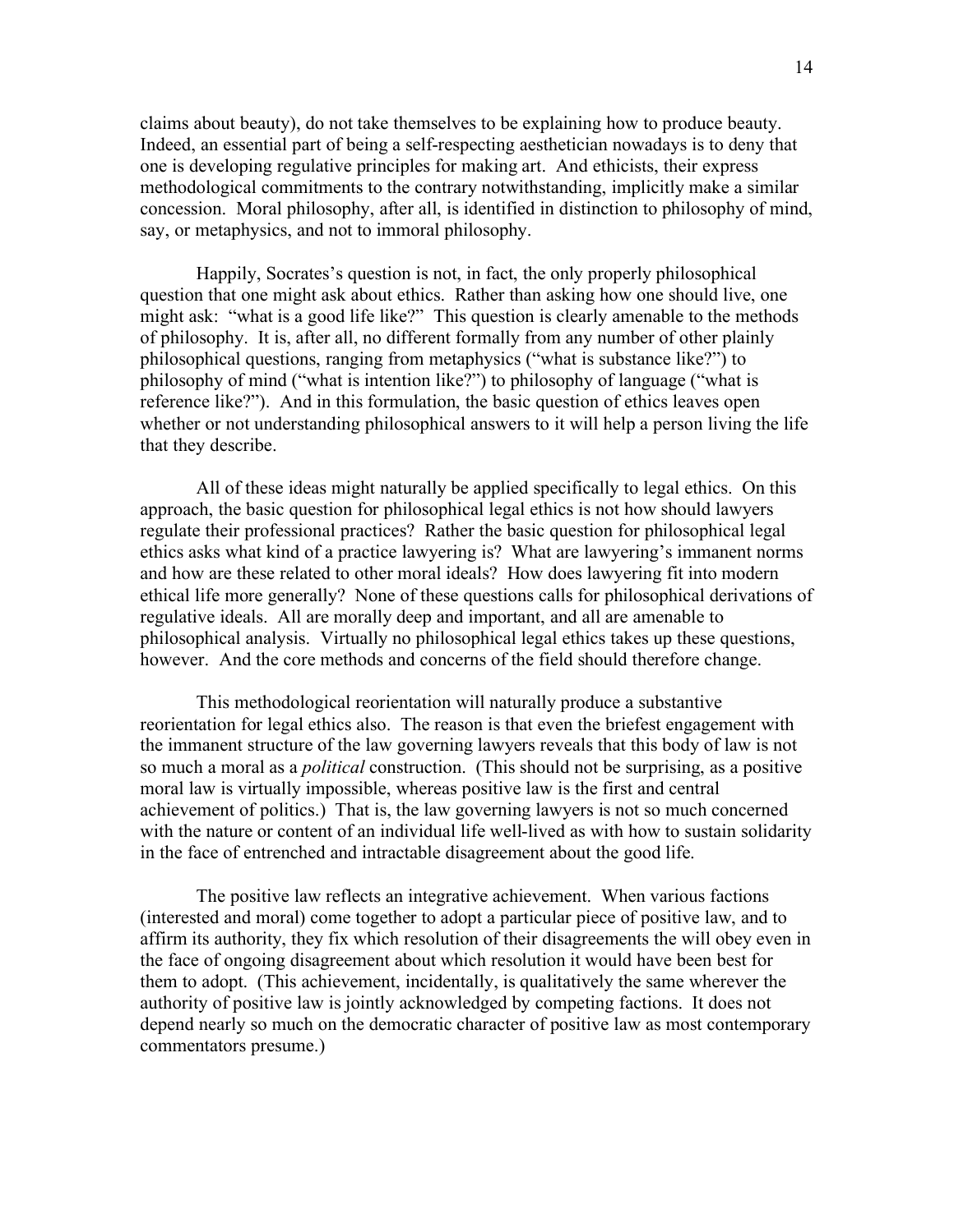claims about beauty), do not take themselves to be explaining how to produce beauty. Indeed, an essential part of being a self-respecting aesthetician nowadays is to deny that one is developing regulative principles for making art. And ethicists, their express methodological commitments to the contrary notwithstanding, implicitly make a similar concession. Moral philosophy, after all, is identified in distinction to philosophy of mind, say, or metaphysics, and not to immoral philosophy.

Happily, Socrates's question is not, in fact, the only properly philosophical question that one might ask about ethics. Rather than asking how one should live, one might ask: "what is a good life like?" This question is clearly amenable to the methods of philosophy. It is, after all, no different formally from any number of other plainly philosophical questions, ranging from metaphysics ("what is substance like?") to philosophy of mind ("what is intention like?") to philosophy of language ("what is reference like?"). And in this formulation, the basic question of ethics leaves open whether or not understanding philosophical answers to it will help a person living the life that they describe.

All of these ideas might naturally be applied specifically to legal ethics. On this approach, the basic question for philosophical legal ethics is not how should lawyers regulate their professional practices? Rather the basic question for philosophical legal ethics asks what kind of a practice lawyering is? What are lawyering's immanent norms and how are these related to other moral ideals? How does lawyering fit into modern ethical life more generally? None of these questions calls for philosophical derivations of regulative ideals. All are morally deep and important, and all are amenable to philosophical analysis. Virtually no philosophical legal ethics takes up these questions, however. And the core methods and concerns of the field should therefore change.

This methodological reorientation will naturally produce a substantive reorientation for legal ethics also. The reason is that even the briefest engagement with the immanent structure of the law governing lawyers reveals that this body of law is not so much a moral as a *political* construction. (This should not be surprising, as a positive moral law is virtually impossible, whereas positive law is the first and central achievement of politics.) That is, the law governing lawyers is not so much concerned with the nature or content of an individual life well-lived as with how to sustain solidarity in the face of entrenched and intractable disagreement about the good life.

The positive law reflects an integrative achievement. When various factions (interested and moral) come together to adopt a particular piece of positive law, and to affirm its authority, they fix which resolution of their disagreements the will obey even in the face of ongoing disagreement about which resolution it would have been best for them to adopt. (This achievement, incidentally, is qualitatively the same wherever the authority of positive law is jointly acknowledged by competing factions. It does not depend nearly so much on the democratic character of positive law as most contemporary commentators presume.)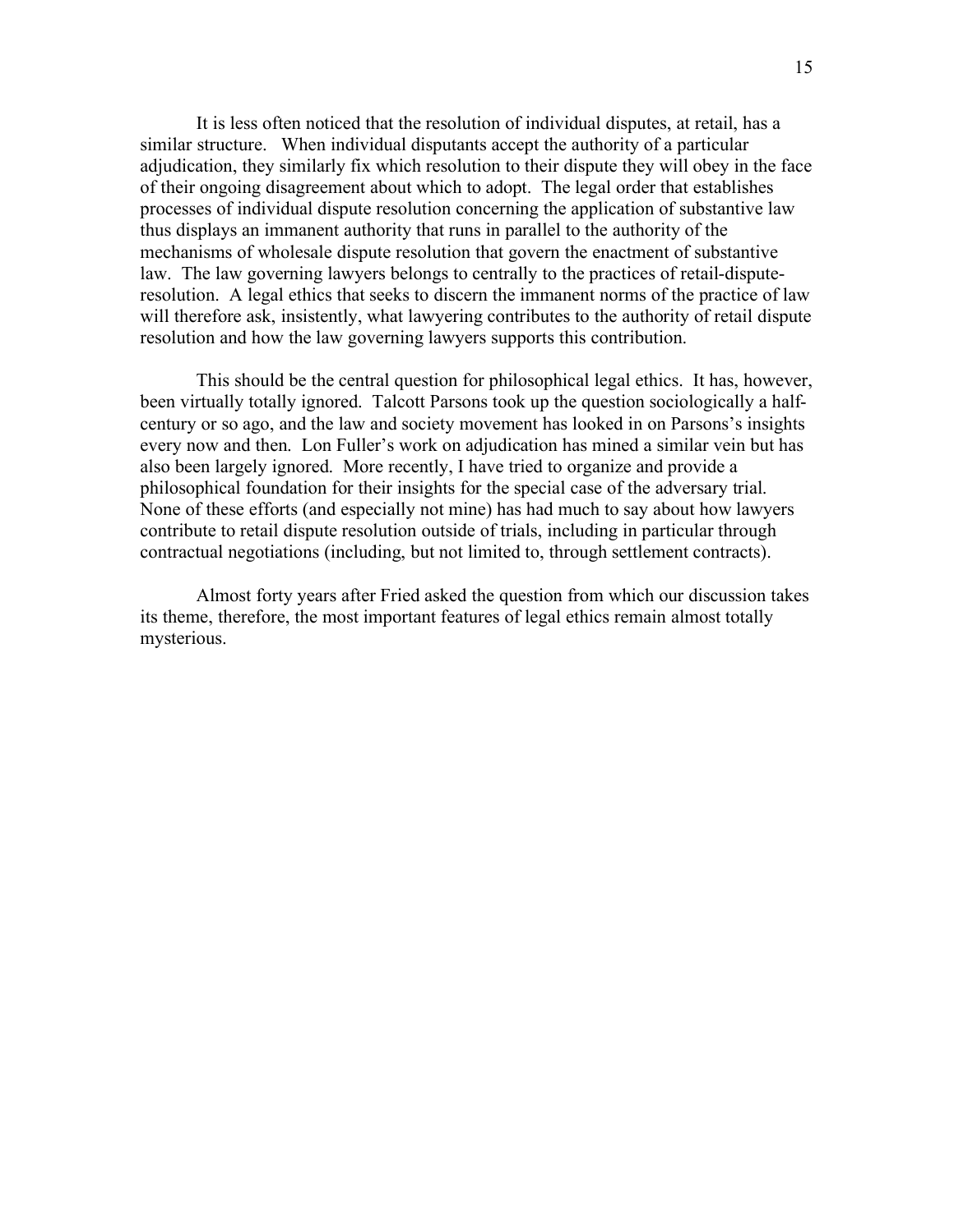It is less often noticed that the resolution of individual disputes, at retail, has a similar structure. When individual disputants accept the authority of a particular adjudication, they similarly fix which resolution to their dispute they will obey in the face of their ongoing disagreement about which to adopt. The legal order that establishes processes of individual dispute resolution concerning the application of substantive law thus displays an immanent authority that runs in parallel to the authority of the mechanisms of wholesale dispute resolution that govern the enactment of substantive law. The law governing lawyers belongs to centrally to the practices of retail-disputeresolution. A legal ethics that seeks to discern the immanent norms of the practice of law will therefore ask, insistently, what lawyering contributes to the authority of retail dispute resolution and how the law governing lawyers supports this contribution.

This should be the central question for philosophical legal ethics. It has, however, been virtually totally ignored. Talcott Parsons took up the question sociologically a halfcentury or so ago, and the law and society movement has looked in on Parsons's insights every now and then. Lon Fuller's work on adjudication has mined a similar vein but has also been largely ignored. More recently, I have tried to organize and provide a philosophical foundation for their insights for the special case of the adversary trial. None of these efforts (and especially not mine) has had much to say about how lawyers contribute to retail dispute resolution outside of trials, including in particular through contractual negotiations (including, but not limited to, through settlement contracts).

Almost forty years after Fried asked the question from which our discussion takes its theme, therefore, the most important features of legal ethics remain almost totally mysterious.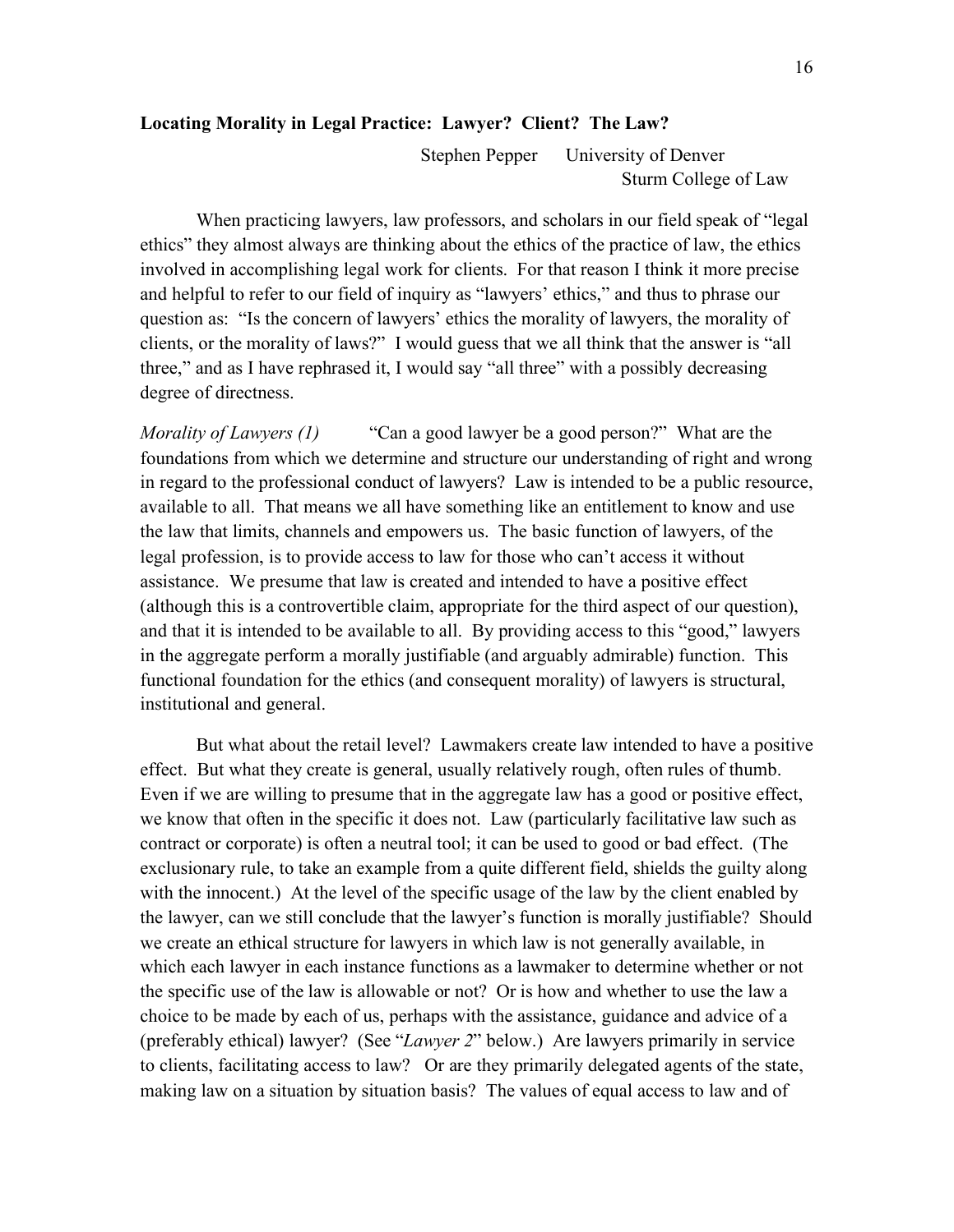## **Locating Morality in Legal Practice: Lawyer? Client? The Law?**

Stephen Pepper University of Denver Sturm College of Law

When practicing lawyers, law professors, and scholars in our field speak of "legal ethics" they almost always are thinking about the ethics of the practice of law, the ethics involved in accomplishing legal work for clients. For that reason I think it more precise and helpful to refer to our field of inquiry as "lawyers' ethics," and thus to phrase our question as: "Is the concern of lawyers' ethics the morality of lawyers, the morality of clients, or the morality of laws?" I would guess that we all think that the answer is "all three," and as I have rephrased it, I would say "all three" with a possibly decreasing degree of directness.

*Morality of Lawyers (1)* "Can a good lawyer be a good person?" What are the foundations from which we determine and structure our understanding of right and wrong in regard to the professional conduct of lawyers? Law is intended to be a public resource, available to all. That means we all have something like an entitlement to know and use the law that limits, channels and empowers us. The basic function of lawyers, of the legal profession, is to provide access to law for those who can't access it without assistance. We presume that law is created and intended to have a positive effect (although this is a controvertible claim, appropriate for the third aspect of our question), and that it is intended to be available to all. By providing access to this "good," lawyers in the aggregate perform a morally justifiable (and arguably admirable) function. This functional foundation for the ethics (and consequent morality) of lawyers is structural, institutional and general.

But what about the retail level? Lawmakers create law intended to have a positive effect. But what they create is general, usually relatively rough, often rules of thumb. Even if we are willing to presume that in the aggregate law has a good or positive effect, we know that often in the specific it does not. Law (particularly facilitative law such as contract or corporate) is often a neutral tool; it can be used to good or bad effect. (The exclusionary rule, to take an example from a quite different field, shields the guilty along with the innocent.) At the level of the specific usage of the law by the client enabled by the lawyer, can we still conclude that the lawyer's function is morally justifiable? Should we create an ethical structure for lawyers in which law is not generally available, in which each lawyer in each instance functions as a lawmaker to determine whether or not the specific use of the law is allowable or not? Or is how and whether to use the law a choice to be made by each of us, perhaps with the assistance, guidance and advice of a (preferably ethical) lawyer? (See "*Lawyer 2*" below.) Are lawyers primarily in service to clients, facilitating access to law? Or are they primarily delegated agents of the state, making law on a situation by situation basis? The values of equal access to law and of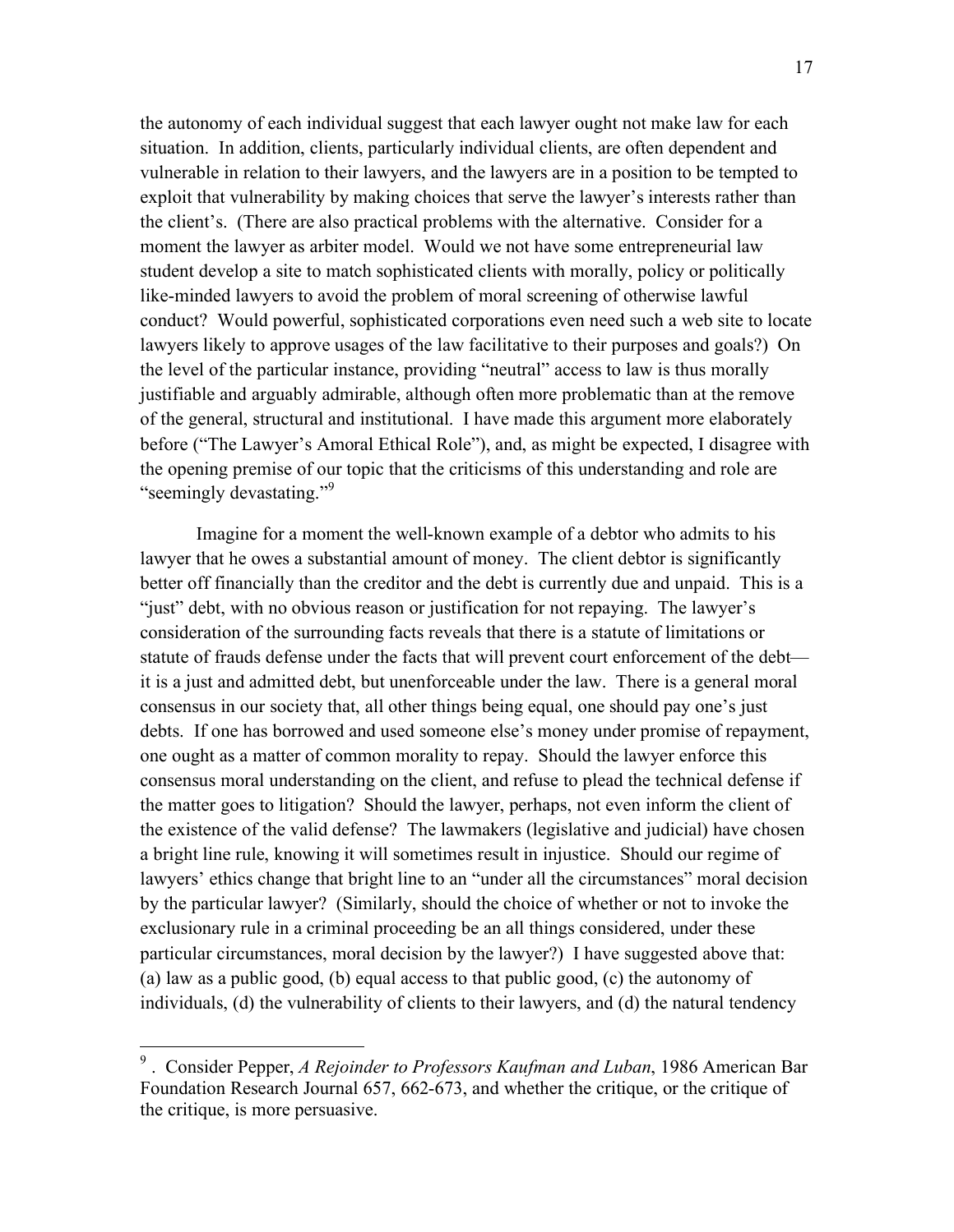the autonomy of each individual suggest that each lawyer ought not make law for each situation. In addition, clients, particularly individual clients, are often dependent and vulnerable in relation to their lawyers, and the lawyers are in a position to be tempted to exploit that vulnerability by making choices that serve the lawyer's interests rather than the client's. (There are also practical problems with the alternative. Consider for a moment the lawyer as arbiter model. Would we not have some entrepreneurial law student develop a site to match sophisticated clients with morally, policy or politically like-minded lawyers to avoid the problem of moral screening of otherwise lawful conduct? Would powerful, sophisticated corporations even need such a web site to locate lawyers likely to approve usages of the law facilitative to their purposes and goals?) On the level of the particular instance, providing "neutral" access to law is thus morally justifiable and arguably admirable, although often more problematic than at the remove of the general, structural and institutional. I have made this argument more elaborately before ("The Lawyer's Amoral Ethical Role"), and, as might be expected, I disagree with the opening premise of our topic that the criticisms of this understanding and role are "seemingly devastating."<sup>9</sup>

Imagine for a moment the well-known example of a debtor who admits to his lawyer that he owes a substantial amount of money. The client debtor is significantly better off financially than the creditor and the debt is currently due and unpaid. This is a "just" debt, with no obvious reason or justification for not repaying. The lawyer's consideration of the surrounding facts reveals that there is a statute of limitations or statute of frauds defense under the facts that will prevent court enforcement of the debt it is a just and admitted debt, but unenforceable under the law. There is a general moral consensus in our society that, all other things being equal, one should pay one's just debts. If one has borrowed and used someone else's money under promise of repayment, one ought as a matter of common morality to repay. Should the lawyer enforce this consensus moral understanding on the client, and refuse to plead the technical defense if the matter goes to litigation? Should the lawyer, perhaps, not even inform the client of the existence of the valid defense? The lawmakers (legislative and judicial) have chosen a bright line rule, knowing it will sometimes result in injustice. Should our regime of lawyers' ethics change that bright line to an "under all the circumstances" moral decision by the particular lawyer? (Similarly, should the choice of whether or not to invoke the exclusionary rule in a criminal proceeding be an all things considered, under these particular circumstances, moral decision by the lawyer?) I have suggested above that: (a) law as a public good, (b) equal access to that public good, (c) the autonomy of individuals, (d) the vulnerability of clients to their lawyers, and (d) the natural tendency

 <sup>9</sup> . Consider Pepper, *A Rejoinder to Professors Kaufman and Luban*, 1986 American Bar Foundation Research Journal 657, 662-673, and whether the critique, or the critique of the critique, is more persuasive.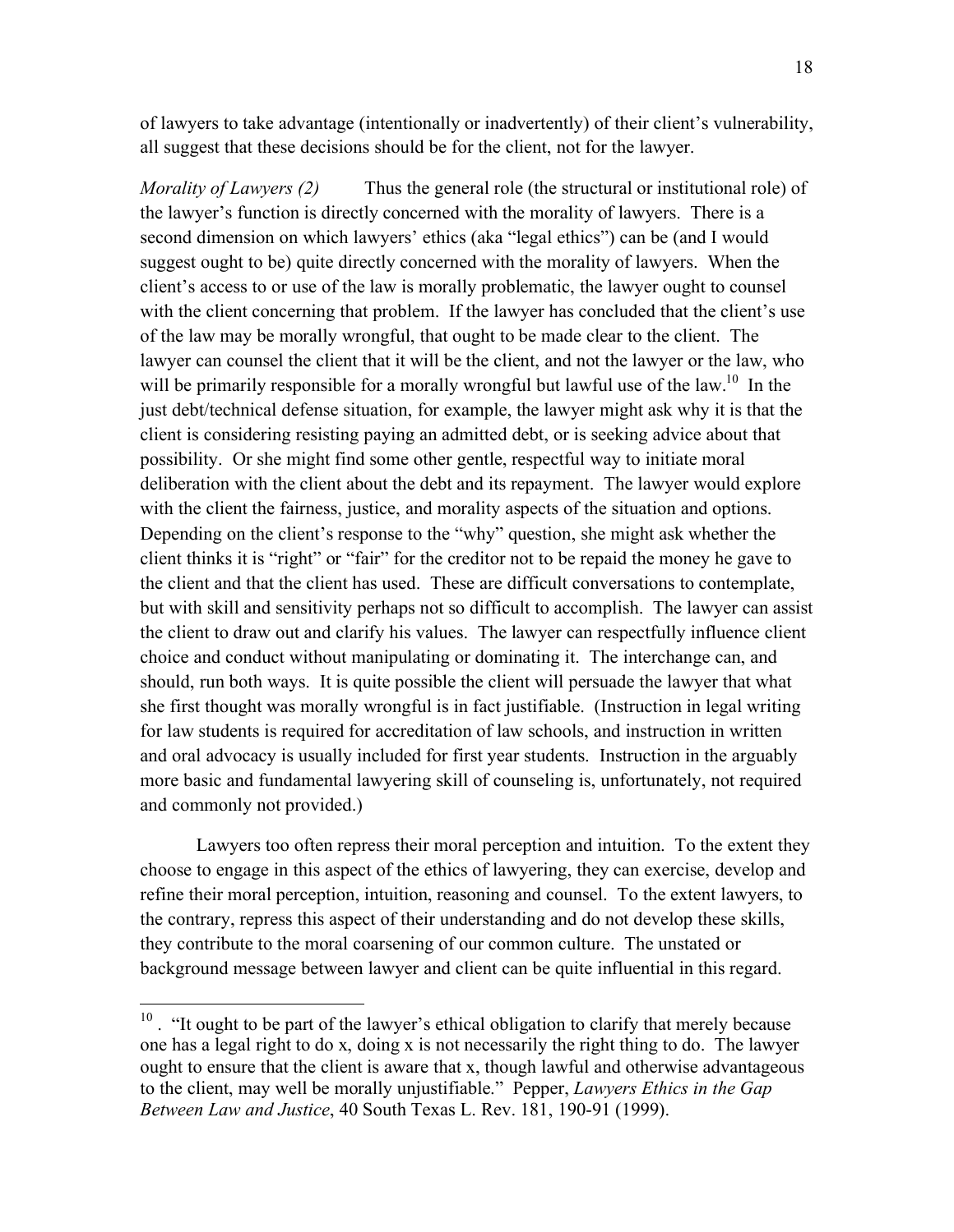of lawyers to take advantage (intentionally or inadvertently) of their client's vulnerability, all suggest that these decisions should be for the client, not for the lawyer.

*Morality of Lawyers (2)* Thus the general role (the structural or institutional role) of the lawyer's function is directly concerned with the morality of lawyers. There is a second dimension on which lawyers' ethics (aka "legal ethics") can be (and I would suggest ought to be) quite directly concerned with the morality of lawyers. When the client's access to or use of the law is morally problematic, the lawyer ought to counsel with the client concerning that problem. If the lawyer has concluded that the client's use of the law may be morally wrongful, that ought to be made clear to the client. The lawyer can counsel the client that it will be the client, and not the lawyer or the law, who will be primarily responsible for a morally wrongful but lawful use of the law.<sup>10</sup> In the just debt/technical defense situation, for example, the lawyer might ask why it is that the client is considering resisting paying an admitted debt, or is seeking advice about that possibility. Or she might find some other gentle, respectful way to initiate moral deliberation with the client about the debt and its repayment. The lawyer would explore with the client the fairness, justice, and morality aspects of the situation and options. Depending on the client's response to the "why" question, she might ask whether the client thinks it is "right" or "fair" for the creditor not to be repaid the money he gave to the client and that the client has used. These are difficult conversations to contemplate, but with skill and sensitivity perhaps not so difficult to accomplish. The lawyer can assist the client to draw out and clarify his values. The lawyer can respectfully influence client choice and conduct without manipulating or dominating it. The interchange can, and should, run both ways. It is quite possible the client will persuade the lawyer that what she first thought was morally wrongful is in fact justifiable. (Instruction in legal writing for law students is required for accreditation of law schools, and instruction in written and oral advocacy is usually included for first year students. Instruction in the arguably more basic and fundamental lawyering skill of counseling is, unfortunately, not required and commonly not provided.)

Lawyers too often repress their moral perception and intuition. To the extent they choose to engage in this aspect of the ethics of lawyering, they can exercise, develop and refine their moral perception, intuition, reasoning and counsel. To the extent lawyers, to the contrary, repress this aspect of their understanding and do not develop these skills, they contribute to the moral coarsening of our common culture. The unstated or background message between lawyer and client can be quite influential in this regard.

 $10$ . "It ought to be part of the lawyer's ethical obligation to clarify that merely because one has a legal right to do x, doing x is not necessarily the right thing to do. The lawyer ought to ensure that the client is aware that x, though lawful and otherwise advantageous to the client, may well be morally unjustifiable." Pepper, *Lawyers Ethics in the Gap Between Law and Justice*, 40 South Texas L. Rev. 181, 190-91 (1999).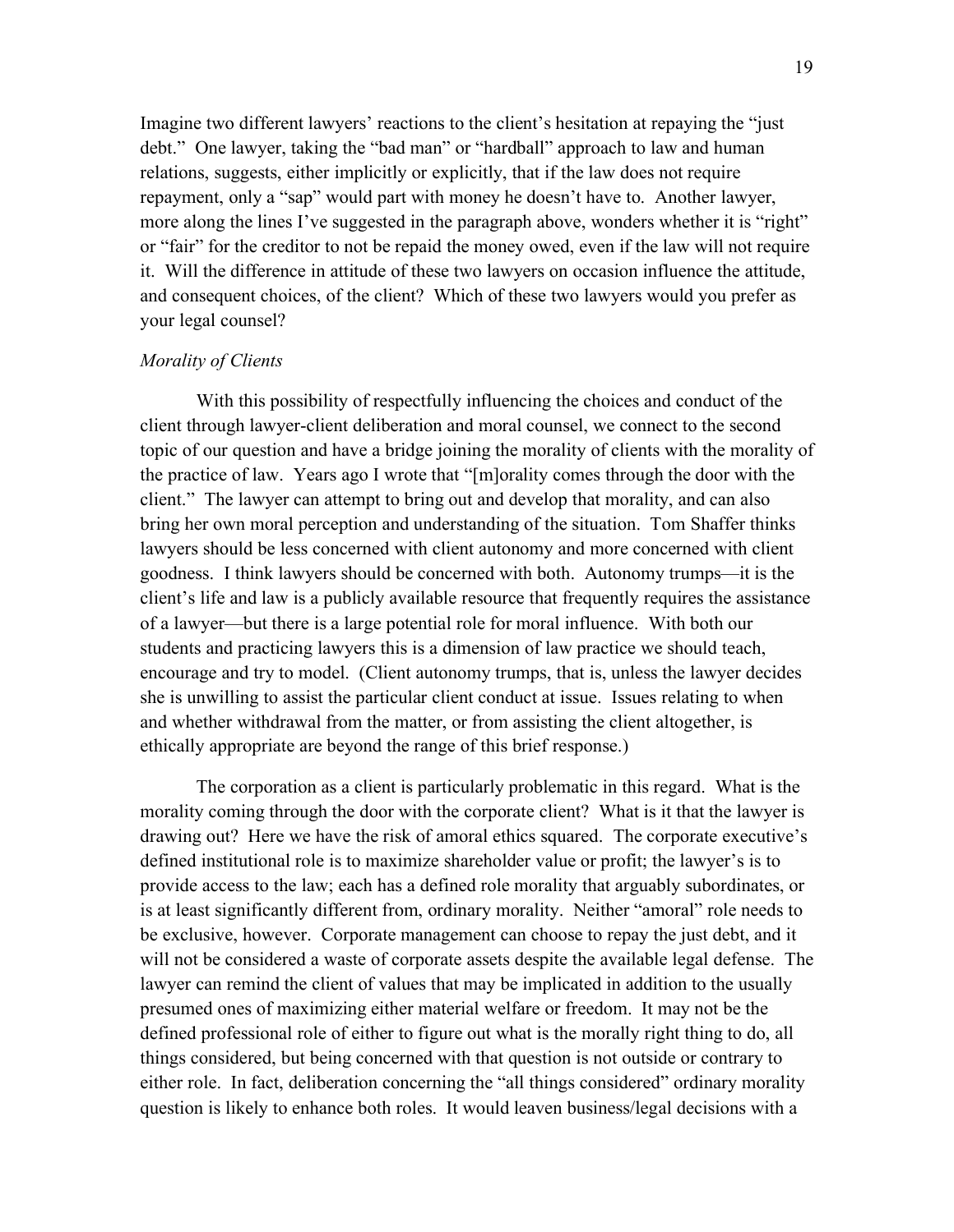Imagine two different lawyers' reactions to the client's hesitation at repaying the "just debt." One lawyer, taking the "bad man" or "hardball" approach to law and human relations, suggests, either implicitly or explicitly, that if the law does not require repayment, only a "sap" would part with money he doesn't have to. Another lawyer, more along the lines I've suggested in the paragraph above, wonders whether it is "right" or "fair" for the creditor to not be repaid the money owed, even if the law will not require it. Will the difference in attitude of these two lawyers on occasion influence the attitude, and consequent choices, of the client? Which of these two lawyers would you prefer as your legal counsel?

## *Morality of Clients*

With this possibility of respectfully influencing the choices and conduct of the client through lawyer-client deliberation and moral counsel, we connect to the second topic of our question and have a bridge joining the morality of clients with the morality of the practice of law. Years ago I wrote that "[m]orality comes through the door with the client." The lawyer can attempt to bring out and develop that morality, and can also bring her own moral perception and understanding of the situation. Tom Shaffer thinks lawyers should be less concerned with client autonomy and more concerned with client goodness. I think lawyers should be concerned with both. Autonomy trumps—it is the client's life and law is a publicly available resource that frequently requires the assistance of a lawyer—but there is a large potential role for moral influence. With both our students and practicing lawyers this is a dimension of law practice we should teach, encourage and try to model. (Client autonomy trumps, that is, unless the lawyer decides she is unwilling to assist the particular client conduct at issue. Issues relating to when and whether withdrawal from the matter, or from assisting the client altogether, is ethically appropriate are beyond the range of this brief response.)

The corporation as a client is particularly problematic in this regard. What is the morality coming through the door with the corporate client? What is it that the lawyer is drawing out? Here we have the risk of amoral ethics squared. The corporate executive's defined institutional role is to maximize shareholder value or profit; the lawyer's is to provide access to the law; each has a defined role morality that arguably subordinates, or is at least significantly different from, ordinary morality. Neither "amoral" role needs to be exclusive, however. Corporate management can choose to repay the just debt, and it will not be considered a waste of corporate assets despite the available legal defense. The lawyer can remind the client of values that may be implicated in addition to the usually presumed ones of maximizing either material welfare or freedom. It may not be the defined professional role of either to figure out what is the morally right thing to do, all things considered, but being concerned with that question is not outside or contrary to either role. In fact, deliberation concerning the "all things considered" ordinary morality question is likely to enhance both roles. It would leaven business/legal decisions with a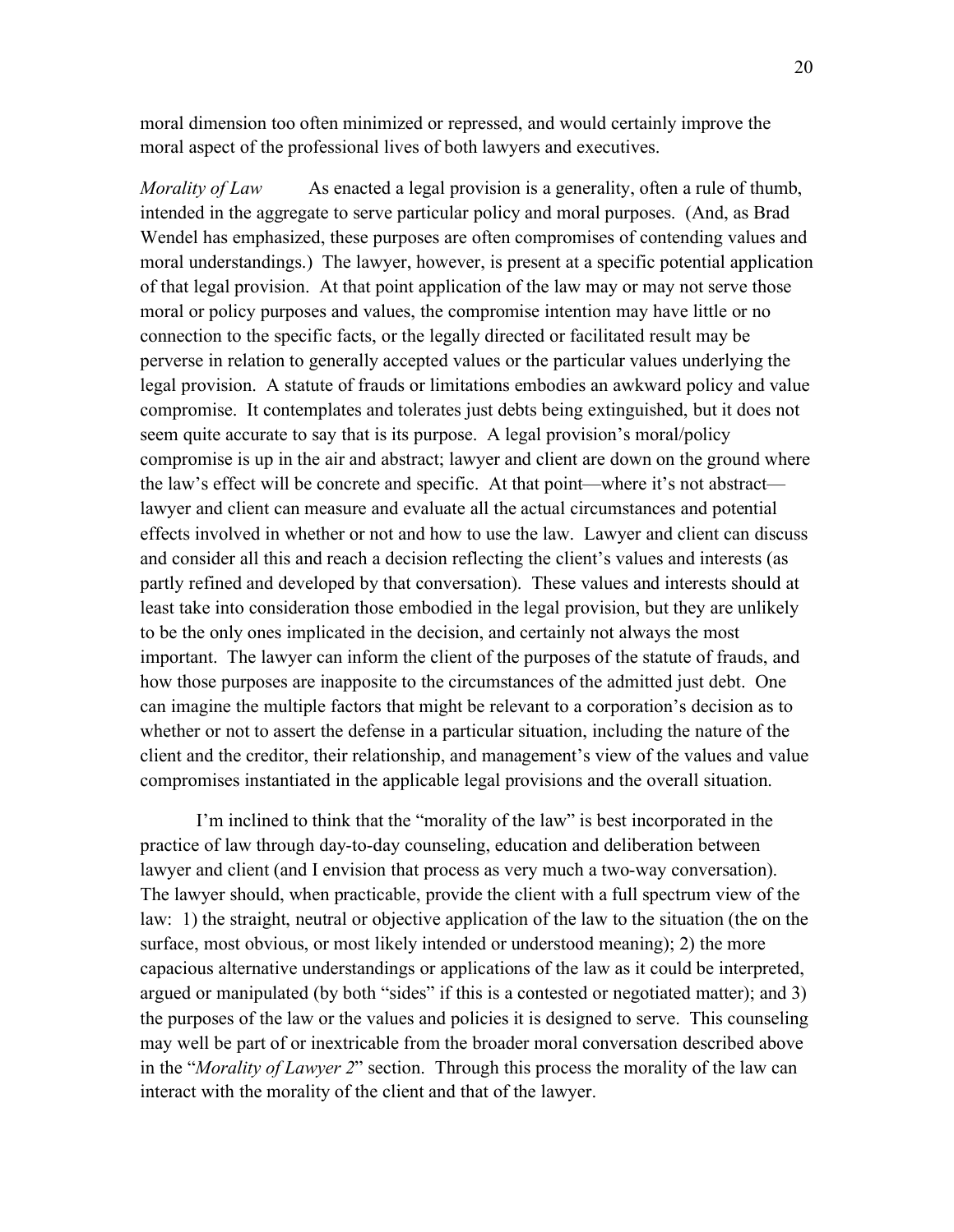moral dimension too often minimized or repressed, and would certainly improve the moral aspect of the professional lives of both lawyers and executives.

*Morality of Law* As enacted a legal provision is a generality, often a rule of thumb, intended in the aggregate to serve particular policy and moral purposes. (And, as Brad Wendel has emphasized, these purposes are often compromises of contending values and moral understandings.) The lawyer, however, is present at a specific potential application of that legal provision. At that point application of the law may or may not serve those moral or policy purposes and values, the compromise intention may have little or no connection to the specific facts, or the legally directed or facilitated result may be perverse in relation to generally accepted values or the particular values underlying the legal provision. A statute of frauds or limitations embodies an awkward policy and value compromise. It contemplates and tolerates just debts being extinguished, but it does not seem quite accurate to say that is its purpose. A legal provision's moral/policy compromise is up in the air and abstract; lawyer and client are down on the ground where the law's effect will be concrete and specific. At that point—where it's not abstract lawyer and client can measure and evaluate all the actual circumstances and potential effects involved in whether or not and how to use the law. Lawyer and client can discuss and consider all this and reach a decision reflecting the client's values and interests (as partly refined and developed by that conversation). These values and interests should at least take into consideration those embodied in the legal provision, but they are unlikely to be the only ones implicated in the decision, and certainly not always the most important. The lawyer can inform the client of the purposes of the statute of frauds, and how those purposes are inapposite to the circumstances of the admitted just debt. One can imagine the multiple factors that might be relevant to a corporation's decision as to whether or not to assert the defense in a particular situation, including the nature of the client and the creditor, their relationship, and management's view of the values and value compromises instantiated in the applicable legal provisions and the overall situation.

I'm inclined to think that the "morality of the law" is best incorporated in the practice of law through day-to-day counseling, education and deliberation between lawyer and client (and I envision that process as very much a two-way conversation). The lawyer should, when practicable, provide the client with a full spectrum view of the law: 1) the straight, neutral or objective application of the law to the situation (the on the surface, most obvious, or most likely intended or understood meaning); 2) the more capacious alternative understandings or applications of the law as it could be interpreted, argued or manipulated (by both "sides" if this is a contested or negotiated matter); and 3) the purposes of the law or the values and policies it is designed to serve. This counseling may well be part of or inextricable from the broader moral conversation described above in the "*Morality of Lawyer 2*" section. Through this process the morality of the law can interact with the morality of the client and that of the lawyer.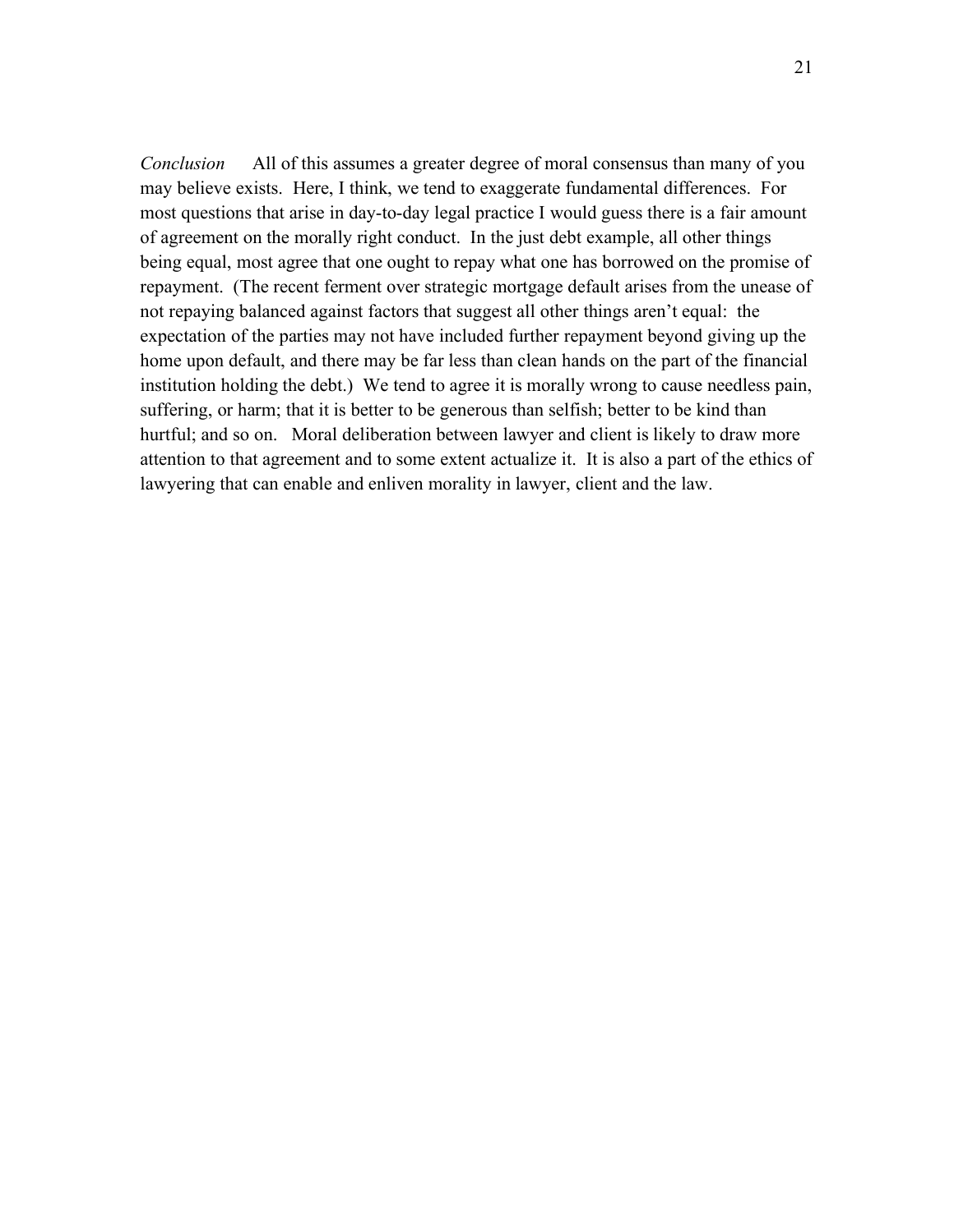*Conclusion* All of this assumes a greater degree of moral consensus than many of you may believe exists. Here, I think, we tend to exaggerate fundamental differences. For most questions that arise in day-to-day legal practice I would guess there is a fair amount of agreement on the morally right conduct. In the just debt example, all other things being equal, most agree that one ought to repay what one has borrowed on the promise of repayment. (The recent ferment over strategic mortgage default arises from the unease of not repaying balanced against factors that suggest all other things aren't equal: the expectation of the parties may not have included further repayment beyond giving up the home upon default, and there may be far less than clean hands on the part of the financial institution holding the debt.) We tend to agree it is morally wrong to cause needless pain, suffering, or harm; that it is better to be generous than selfish; better to be kind than hurtful; and so on. Moral deliberation between lawyer and client is likely to draw more attention to that agreement and to some extent actualize it. It is also a part of the ethics of lawyering that can enable and enliven morality in lawyer, client and the law.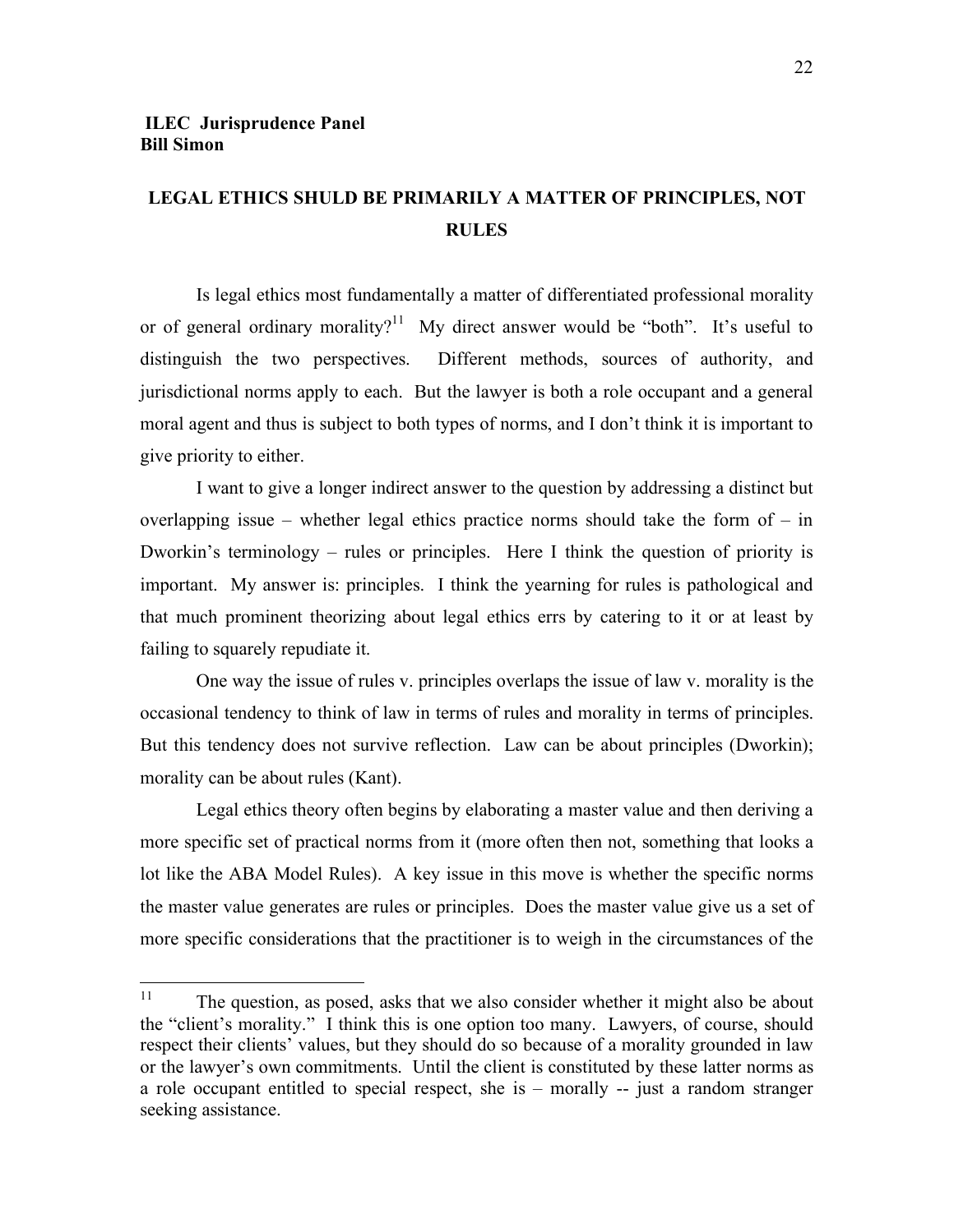# **LEGAL ETHICS SHULD BE PRIMARILY A MATTER OF PRINCIPLES, NOT RULES**

Is legal ethics most fundamentally a matter of differentiated professional morality or of general ordinary morality?<sup>11</sup> My direct answer would be "both". It's useful to distinguish the two perspectives. Different methods, sources of authority, and jurisdictional norms apply to each. But the lawyer is both a role occupant and a general moral agent and thus is subject to both types of norms, and I don't think it is important to give priority to either.

I want to give a longer indirect answer to the question by addressing a distinct but overlapping issue – whether legal ethics practice norms should take the form of – in Dworkin's terminology – rules or principles. Here I think the question of priority is important. My answer is: principles. I think the yearning for rules is pathological and that much prominent theorizing about legal ethics errs by catering to it or at least by failing to squarely repudiate it.

One way the issue of rules v. principles overlaps the issue of law v. morality is the occasional tendency to think of law in terms of rules and morality in terms of principles. But this tendency does not survive reflection. Law can be about principles (Dworkin); morality can be about rules (Kant).

Legal ethics theory often begins by elaborating a master value and then deriving a more specific set of practical norms from it (more often then not, something that looks a lot like the ABA Model Rules). A key issue in this move is whether the specific norms the master value generates are rules or principles. Does the master value give us a set of more specific considerations that the practitioner is to weigh in the circumstances of the

 $11$  The question, as posed, asks that we also consider whether it might also be about the "client's morality." I think this is one option too many. Lawyers, of course, should respect their clients' values, but they should do so because of a morality grounded in law or the lawyer's own commitments. Until the client is constituted by these latter norms as a role occupant entitled to special respect, she is – morally -- just a random stranger seeking assistance.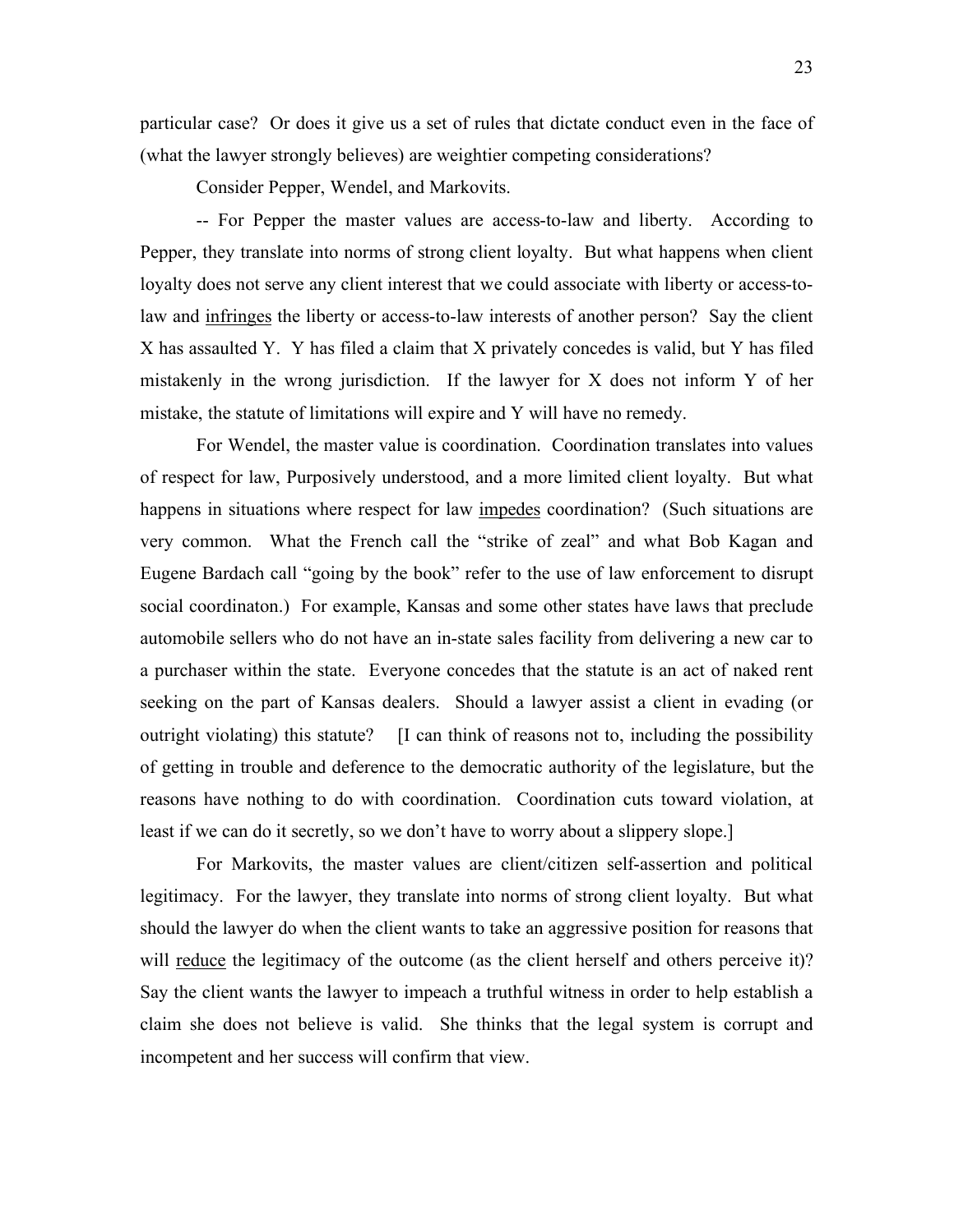particular case? Or does it give us a set of rules that dictate conduct even in the face of (what the lawyer strongly believes) are weightier competing considerations?

Consider Pepper, Wendel, and Markovits.

-- For Pepper the master values are access-to-law and liberty. According to Pepper, they translate into norms of strong client loyalty. But what happens when client loyalty does not serve any client interest that we could associate with liberty or access-tolaw and infringes the liberty or access-to-law interests of another person? Say the client X has assaulted Y. Y has filed a claim that X privately concedes is valid, but Y has filed mistakenly in the wrong jurisdiction. If the lawyer for X does not inform Y of her mistake, the statute of limitations will expire and Y will have no remedy.

For Wendel, the master value is coordination. Coordination translates into values of respect for law, Purposively understood, and a more limited client loyalty. But what happens in situations where respect for law impedes coordination? (Such situations are very common. What the French call the "strike of zeal" and what Bob Kagan and Eugene Bardach call "going by the book" refer to the use of law enforcement to disrupt social coordinaton.) For example, Kansas and some other states have laws that preclude automobile sellers who do not have an in-state sales facility from delivering a new car to a purchaser within the state. Everyone concedes that the statute is an act of naked rent seeking on the part of Kansas dealers. Should a lawyer assist a client in evading (or outright violating) this statute? [I can think of reasons not to, including the possibility of getting in trouble and deference to the democratic authority of the legislature, but the reasons have nothing to do with coordination. Coordination cuts toward violation, at least if we can do it secretly, so we don't have to worry about a slippery slope.]

For Markovits, the master values are client/citizen self-assertion and political legitimacy. For the lawyer, they translate into norms of strong client loyalty. But what should the lawyer do when the client wants to take an aggressive position for reasons that will reduce the legitimacy of the outcome (as the client herself and others perceive it)? Say the client wants the lawyer to impeach a truthful witness in order to help establish a claim she does not believe is valid. She thinks that the legal system is corrupt and incompetent and her success will confirm that view.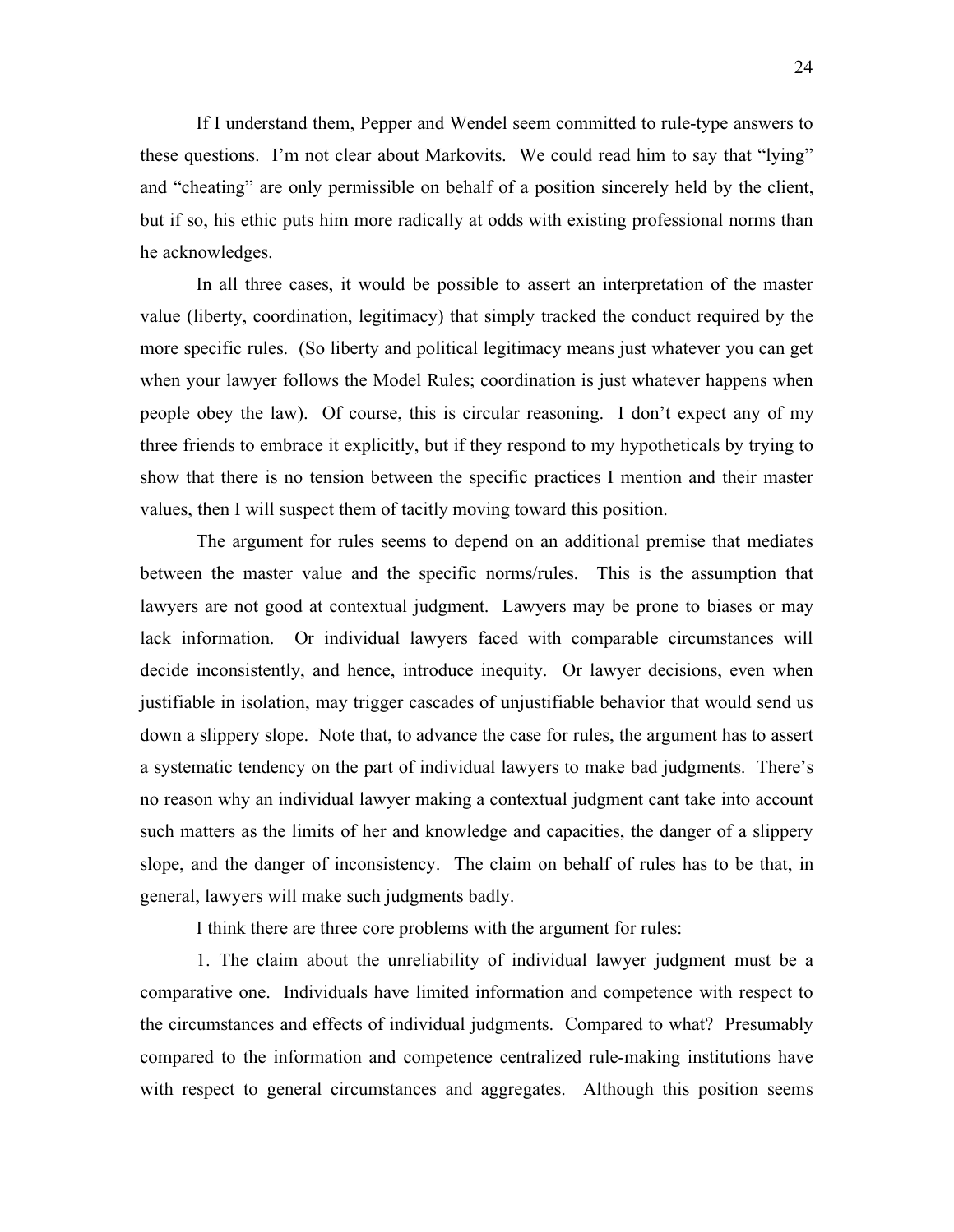If I understand them, Pepper and Wendel seem committed to rule-type answers to these questions. I'm not clear about Markovits. We could read him to say that "lying" and "cheating" are only permissible on behalf of a position sincerely held by the client, but if so, his ethic puts him more radically at odds with existing professional norms than he acknowledges.

In all three cases, it would be possible to assert an interpretation of the master value (liberty, coordination, legitimacy) that simply tracked the conduct required by the more specific rules. (So liberty and political legitimacy means just whatever you can get when your lawyer follows the Model Rules; coordination is just whatever happens when people obey the law). Of course, this is circular reasoning. I don't expect any of my three friends to embrace it explicitly, but if they respond to my hypotheticals by trying to show that there is no tension between the specific practices I mention and their master values, then I will suspect them of tacitly moving toward this position.

The argument for rules seems to depend on an additional premise that mediates between the master value and the specific norms/rules. This is the assumption that lawyers are not good at contextual judgment. Lawyers may be prone to biases or may lack information. Or individual lawyers faced with comparable circumstances will decide inconsistently, and hence, introduce inequity. Or lawyer decisions, even when justifiable in isolation, may trigger cascades of unjustifiable behavior that would send us down a slippery slope. Note that, to advance the case for rules, the argument has to assert a systematic tendency on the part of individual lawyers to make bad judgments. There's no reason why an individual lawyer making a contextual judgment cant take into account such matters as the limits of her and knowledge and capacities, the danger of a slippery slope, and the danger of inconsistency. The claim on behalf of rules has to be that, in general, lawyers will make such judgments badly.

I think there are three core problems with the argument for rules:

1. The claim about the unreliability of individual lawyer judgment must be a comparative one. Individuals have limited information and competence with respect to the circumstances and effects of individual judgments. Compared to what? Presumably compared to the information and competence centralized rule-making institutions have with respect to general circumstances and aggregates. Although this position seems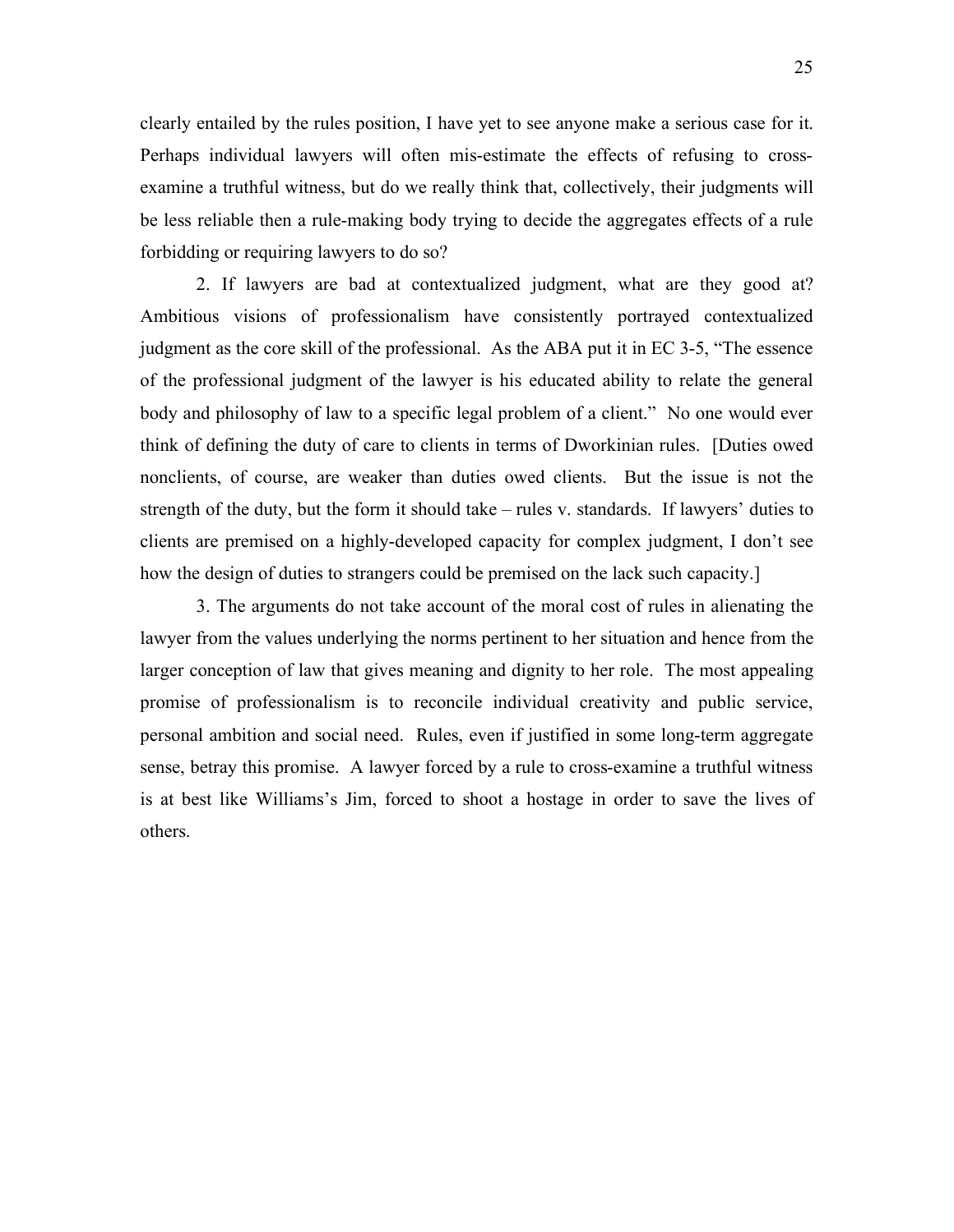clearly entailed by the rules position, I have yet to see anyone make a serious case for it. Perhaps individual lawyers will often mis-estimate the effects of refusing to crossexamine a truthful witness, but do we really think that, collectively, their judgments will be less reliable then a rule-making body trying to decide the aggregates effects of a rule forbidding or requiring lawyers to do so?

2. If lawyers are bad at contextualized judgment, what are they good at? Ambitious visions of professionalism have consistently portrayed contextualized judgment as the core skill of the professional. As the ABA put it in EC 3-5, "The essence of the professional judgment of the lawyer is his educated ability to relate the general body and philosophy of law to a specific legal problem of a client." No one would ever think of defining the duty of care to clients in terms of Dworkinian rules. [Duties owed nonclients, of course, are weaker than duties owed clients. But the issue is not the strength of the duty, but the form it should take – rules v. standards. If lawyers' duties to clients are premised on a highly-developed capacity for complex judgment, I don't see how the design of duties to strangers could be premised on the lack such capacity.]

3. The arguments do not take account of the moral cost of rules in alienating the lawyer from the values underlying the norms pertinent to her situation and hence from the larger conception of law that gives meaning and dignity to her role. The most appealing promise of professionalism is to reconcile individual creativity and public service, personal ambition and social need. Rules, even if justified in some long-term aggregate sense, betray this promise. A lawyer forced by a rule to cross-examine a truthful witness is at best like Williams's Jim, forced to shoot a hostage in order to save the lives of others.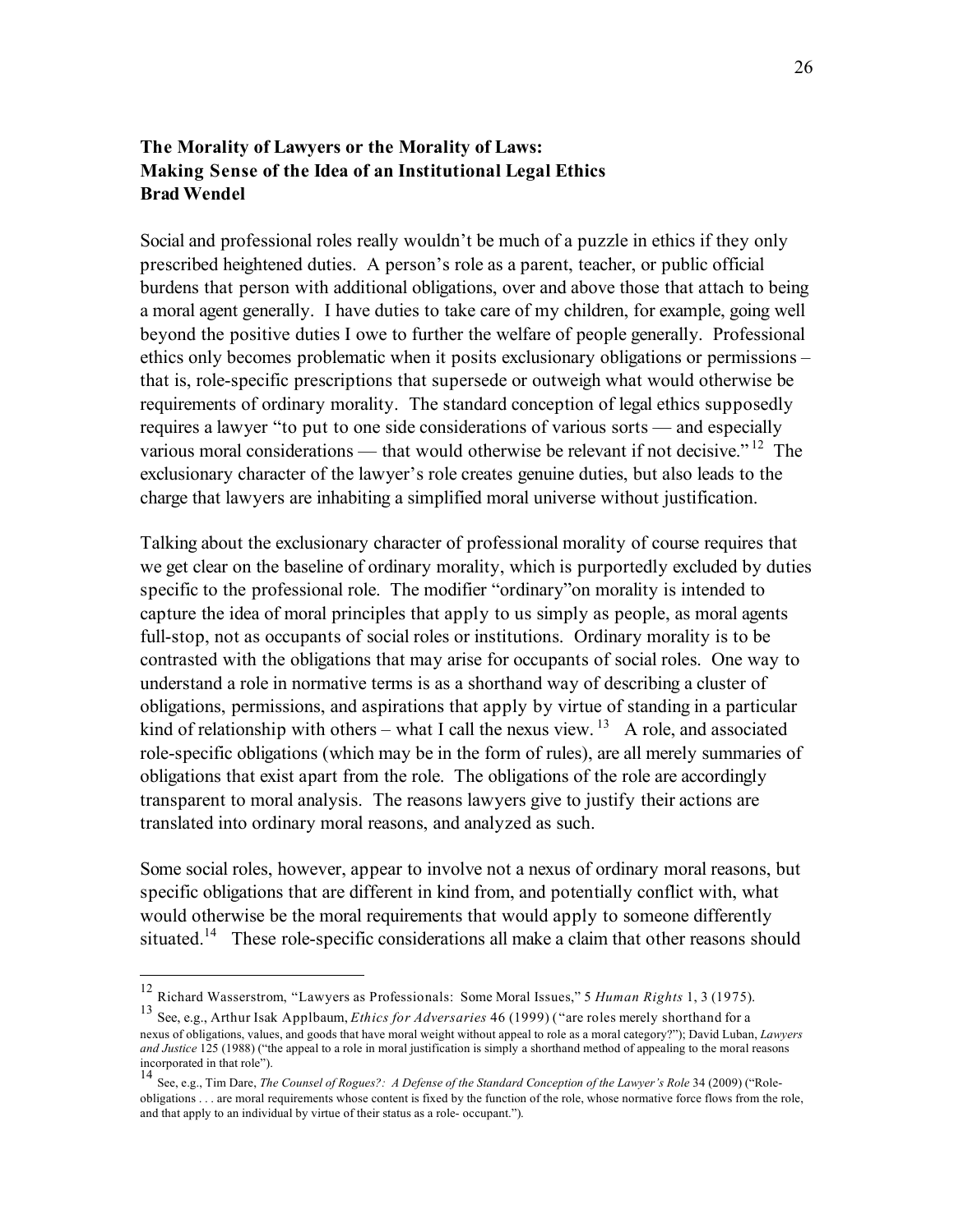# **The Morality of Lawyers or the Morality of Laws: Making Sense of the Idea of an Institutional Legal Ethics Brad Wendel**

Social and professional roles really wouldn't be much of a puzzle in ethics if they only prescribed heightened duties. A person's role as a parent, teacher, or public official burdens that person with additional obligations, over and above those that attach to being a moral agent generally. I have duties to take care of my children, for example, going well beyond the positive duties I owe to further the welfare of people generally. Professional ethics only becomes problematic when it posits exclusionary obligations or permissions – that is, role-specific prescriptions that supersede or outweigh what would otherwise be requirements of ordinary morality. The standard conception of legal ethics supposedly requires a lawyer "to put to one side considerations of various sorts — and especially various moral considerations — that would otherwise be relevant if not decisive."<sup>12</sup> The exclusionary character of the lawyer's role creates genuine duties, but also leads to the charge that lawyers are inhabiting a simplified moral universe without justification.

Talking about the exclusionary character of professional morality of course requires that we get clear on the baseline of ordinary morality, which is purportedly excluded by duties specific to the professional role. The modifier "ordinary"on morality is intended to capture the idea of moral principles that apply to us simply as people, as moral agents full-stop, not as occupants of social roles or institutions. Ordinary morality is to be contrasted with the obligations that may arise for occupants of social roles. One way to understand a role in normative terms is as a shorthand way of describing a cluster of obligations, permissions, and aspirations that apply by virtue of standing in a particular kind of relationship with others – what I call the nexus view. <sup>13</sup> A role, and associated role-specific obligations (which may be in the form of rules), are all merely summaries of obligations that exist apart from the role. The obligations of the role are accordingly transparent to moral analysis. The reasons lawyers give to justify their actions are translated into ordinary moral reasons, and analyzed as such.

Some social roles, however, appear to involve not a nexus of ordinary moral reasons, but specific obligations that are different in kind from, and potentially conflict with, what would otherwise be the moral requirements that would apply to someone differently situated.<sup>14</sup> These role-specific considerations all make a claim that other reasons should

 <sup>12</sup> Richard Wasserstrom, "Lawyers as Professionals: Some Moral Issues," 5 *Human Rights* 1, 3 (1975).

<sup>13</sup> See, e.g., Arthur Isak Applbaum, *Ethics for Adversaries* 46 (1999) ( "are roles merely shorthand for a nexus of obligations, values, and goods that have moral weight without appeal to role as a moral category?"); David Luban, *Lawyers and Justice* 125 (1988) ("the appeal to a role in moral justification is simply a shorthand method of appealing to the moral reasons incorporated in that role").

<sup>14</sup> See, e.g., Tim Dare, *The Counsel of Rogues?: A Defense of the Standard Conception of the Lawyer's Role* 34 (2009) ("Roleobligations . . . are moral requirements whose content is fixed by the function of the role, whose normative force flows from the role, and that apply to an individual by virtue of their status as a role- occupant.").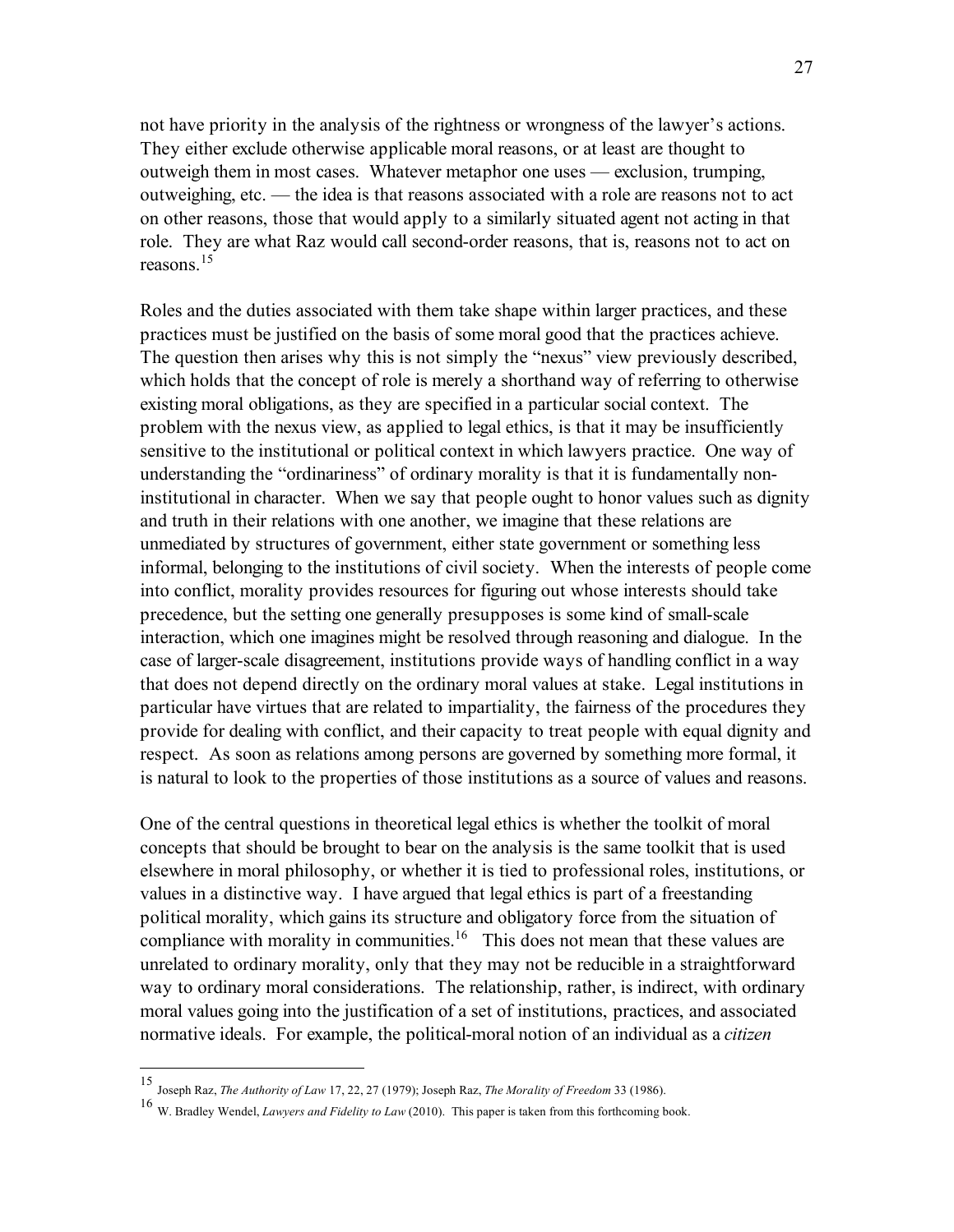not have priority in the analysis of the rightness or wrongness of the lawyer's actions. They either exclude otherwise applicable moral reasons, or at least are thought to outweigh them in most cases. Whatever metaphor one uses — exclusion, trumping, outweighing, etc. — the idea is that reasons associated with a role are reasons not to act on other reasons, those that would apply to a similarly situated agent not acting in that role. They are what Raz would call second-order reasons, that is, reasons not to act on reasons<sup>15</sup>

Roles and the duties associated with them take shape within larger practices, and these practices must be justified on the basis of some moral good that the practices achieve. The question then arises why this is not simply the "nexus" view previously described, which holds that the concept of role is merely a shorthand way of referring to otherwise existing moral obligations, as they are specified in a particular social context. The problem with the nexus view, as applied to legal ethics, is that it may be insufficiently sensitive to the institutional or political context in which lawyers practice. One way of understanding the "ordinariness" of ordinary morality is that it is fundamentally noninstitutional in character. When we say that people ought to honor values such as dignity and truth in their relations with one another, we imagine that these relations are unmediated by structures of government, either state government or something less informal, belonging to the institutions of civil society. When the interests of people come into conflict, morality provides resources for figuring out whose interests should take precedence, but the setting one generally presupposes is some kind of small-scale interaction, which one imagines might be resolved through reasoning and dialogue. In the case of larger-scale disagreement, institutions provide ways of handling conflict in a way that does not depend directly on the ordinary moral values at stake. Legal institutions in particular have virtues that are related to impartiality, the fairness of the procedures they provide for dealing with conflict, and their capacity to treat people with equal dignity and respect. As soon as relations among persons are governed by something more formal, it is natural to look to the properties of those institutions as a source of values and reasons.

One of the central questions in theoretical legal ethics is whether the toolkit of moral concepts that should be brought to bear on the analysis is the same toolkit that is used elsewhere in moral philosophy, or whether it is tied to professional roles, institutions, or values in a distinctive way. I have argued that legal ethics is part of a freestanding political morality, which gains its structure and obligatory force from the situation of compliance with morality in communities.<sup>16</sup> This does not mean that these values are unrelated to ordinary morality, only that they may not be reducible in a straightforward way to ordinary moral considerations. The relationship, rather, is indirect, with ordinary moral values going into the justification of a set of institutions, practices, and associated normative ideals. For example, the political-moral notion of an individual as a *citizen*

 <sup>15</sup> Joseph Raz, *The Authority of Law* 17, 22, 27 (1979); Joseph Raz, *The Morality of Freedom* 33 (1986).

<sup>16</sup> W. Bradley Wendel, *Lawyers and Fidelity to Law* (2010). This paper is taken from this forthcoming book.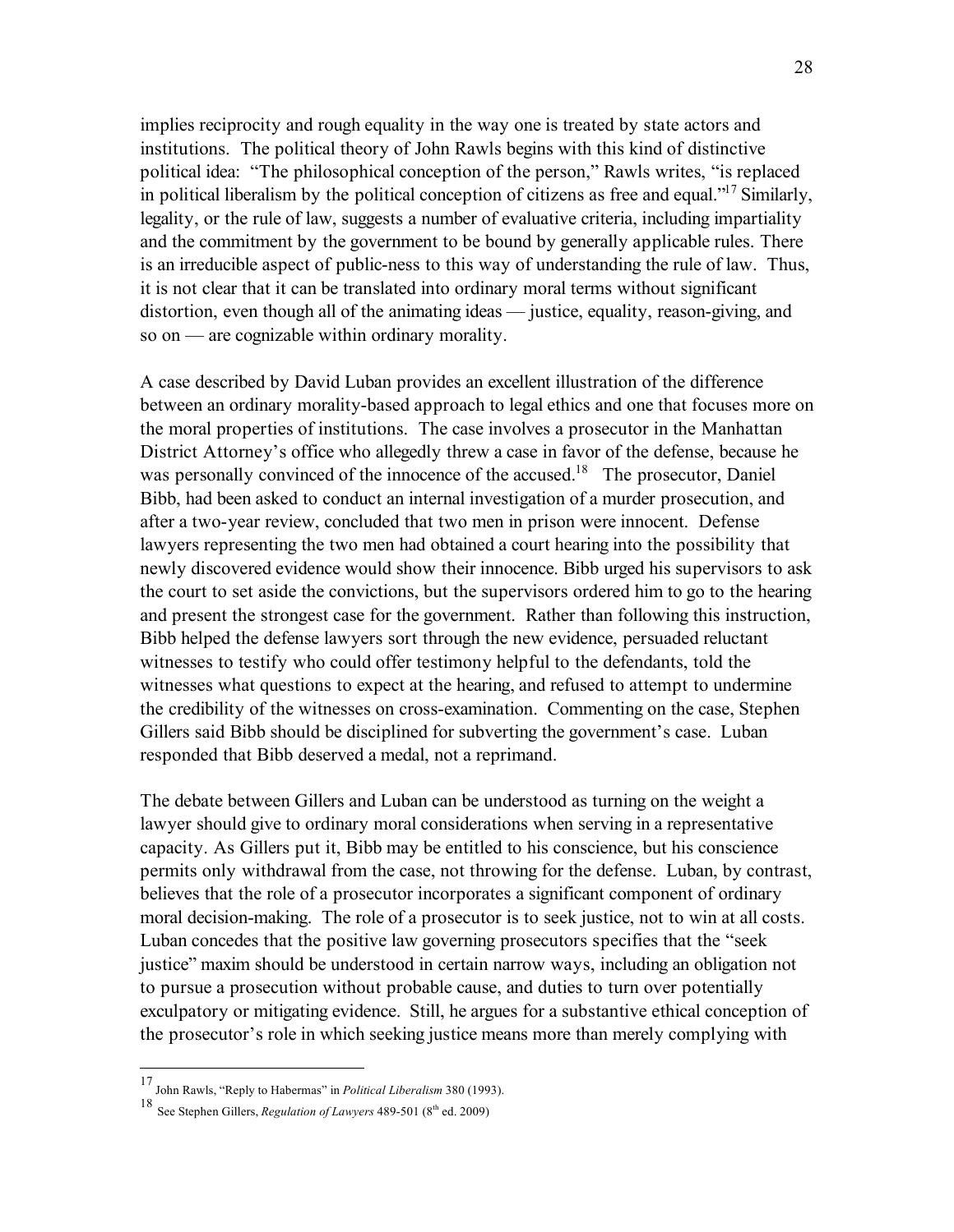implies reciprocity and rough equality in the way one is treated by state actors and institutions. The political theory of John Rawls begins with this kind of distinctive political idea: "The philosophical conception of the person," Rawls writes, "is replaced in political liberalism by the political conception of citizens as free and equal."<sup>17</sup> Similarly, legality, or the rule of law, suggests a number of evaluative criteria, including impartiality and the commitment by the government to be bound by generally applicable rules. There is an irreducible aspect of public-ness to this way of understanding the rule of law. Thus, it is not clear that it can be translated into ordinary moral terms without significant distortion, even though all of the animating ideas — justice, equality, reason-giving, and so on — are cognizable within ordinary morality.

A case described by David Luban provides an excellent illustration of the difference between an ordinary morality-based approach to legal ethics and one that focuses more on the moral properties of institutions. The case involves a prosecutor in the Manhattan District Attorney's office who allegedly threw a case in favor of the defense, because he was personally convinced of the innocence of the accused.<sup>18</sup> The prosecutor, Daniel Bibb, had been asked to conduct an internal investigation of a murder prosecution, and after a two-year review, concluded that two men in prison were innocent. Defense lawyers representing the two men had obtained a court hearing into the possibility that newly discovered evidence would show their innocence. Bibb urged his supervisors to ask the court to set aside the convictions, but the supervisors ordered him to go to the hearing and present the strongest case for the government. Rather than following this instruction, Bibb helped the defense lawyers sort through the new evidence, persuaded reluctant witnesses to testify who could offer testimony helpful to the defendants, told the witnesses what questions to expect at the hearing, and refused to attempt to undermine the credibility of the witnesses on cross-examination. Commenting on the case, Stephen Gillers said Bibb should be disciplined for subverting the government's case. Luban responded that Bibb deserved a medal, not a reprimand.

The debate between Gillers and Luban can be understood as turning on the weight a lawyer should give to ordinary moral considerations when serving in a representative capacity. As Gillers put it, Bibb may be entitled to his conscience, but his conscience permits only withdrawal from the case, not throwing for the defense. Luban, by contrast, believes that the role of a prosecutor incorporates a significant component of ordinary moral decision-making. The role of a prosecutor is to seek justice, not to win at all costs. Luban concedes that the positive law governing prosecutors specifies that the "seek justice" maxim should be understood in certain narrow ways, including an obligation not to pursue a prosecution without probable cause, and duties to turn over potentially exculpatory or mitigating evidence. Still, he argues for a substantive ethical conception of the prosecutor's role in which seeking justice means more than merely complying with

 <sup>17</sup> John Rawls, "Reply to Habermas" in *Political Liberalism* 380 (1993).

<sup>&</sup>lt;sup>18</sup> See Stephen Gillers, *Regulation of Lawyers* 489-501 (8<sup>th</sup> ed. 2009)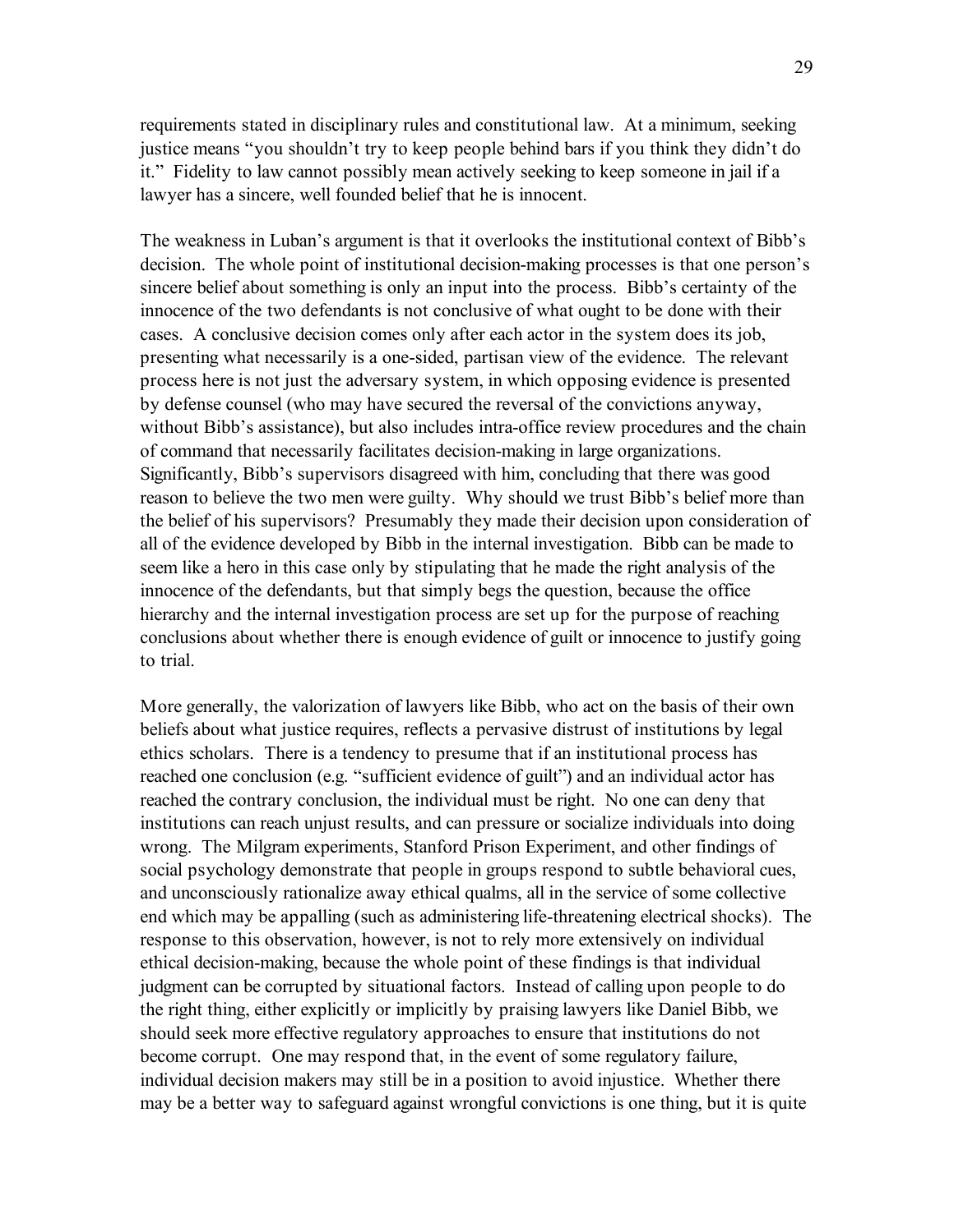requirements stated in disciplinary rules and constitutional law. At a minimum, seeking justice means "you shouldn't try to keep people behind bars if you think they didn't do it." Fidelity to law cannot possibly mean actively seeking to keep someone in jail if a lawyer has a sincere, well founded belief that he is innocent.

The weakness in Luban's argument is that it overlooks the institutional context of Bibb's decision. The whole point of institutional decision-making processes is that one person's sincere belief about something is only an input into the process. Bibb's certainty of the innocence of the two defendants is not conclusive of what ought to be done with their cases. A conclusive decision comes only after each actor in the system does its job, presenting what necessarily is a one-sided, partisan view of the evidence. The relevant process here is not just the adversary system, in which opposing evidence is presented by defense counsel (who may have secured the reversal of the convictions anyway, without Bibb's assistance), but also includes intra-office review procedures and the chain of command that necessarily facilitates decision-making in large organizations. Significantly, Bibb's supervisors disagreed with him, concluding that there was good reason to believe the two men were guilty. Why should we trust Bibb's belief more than the belief of his supervisors? Presumably they made their decision upon consideration of all of the evidence developed by Bibb in the internal investigation. Bibb can be made to seem like a hero in this case only by stipulating that he made the right analysis of the innocence of the defendants, but that simply begs the question, because the office hierarchy and the internal investigation process are set up for the purpose of reaching conclusions about whether there is enough evidence of guilt or innocence to justify going to trial.

More generally, the valorization of lawyers like Bibb, who act on the basis of their own beliefs about what justice requires, reflects a pervasive distrust of institutions by legal ethics scholars. There is a tendency to presume that if an institutional process has reached one conclusion (e.g. "sufficient evidence of guilt") and an individual actor has reached the contrary conclusion, the individual must be right. No one can deny that institutions can reach unjust results, and can pressure or socialize individuals into doing wrong. The Milgram experiments, Stanford Prison Experiment, and other findings of social psychology demonstrate that people in groups respond to subtle behavioral cues, and unconsciously rationalize away ethical qualms, all in the service of some collective end which may be appalling (such as administering life-threatening electrical shocks). The response to this observation, however, is not to rely more extensively on individual ethical decision-making, because the whole point of these findings is that individual judgment can be corrupted by situational factors. Instead of calling upon people to do the right thing, either explicitly or implicitly by praising lawyers like Daniel Bibb, we should seek more effective regulatory approaches to ensure that institutions do not become corrupt. One may respond that, in the event of some regulatory failure, individual decision makers may still be in a position to avoid injustice. Whether there may be a better way to safeguard against wrongful convictions is one thing, but it is quite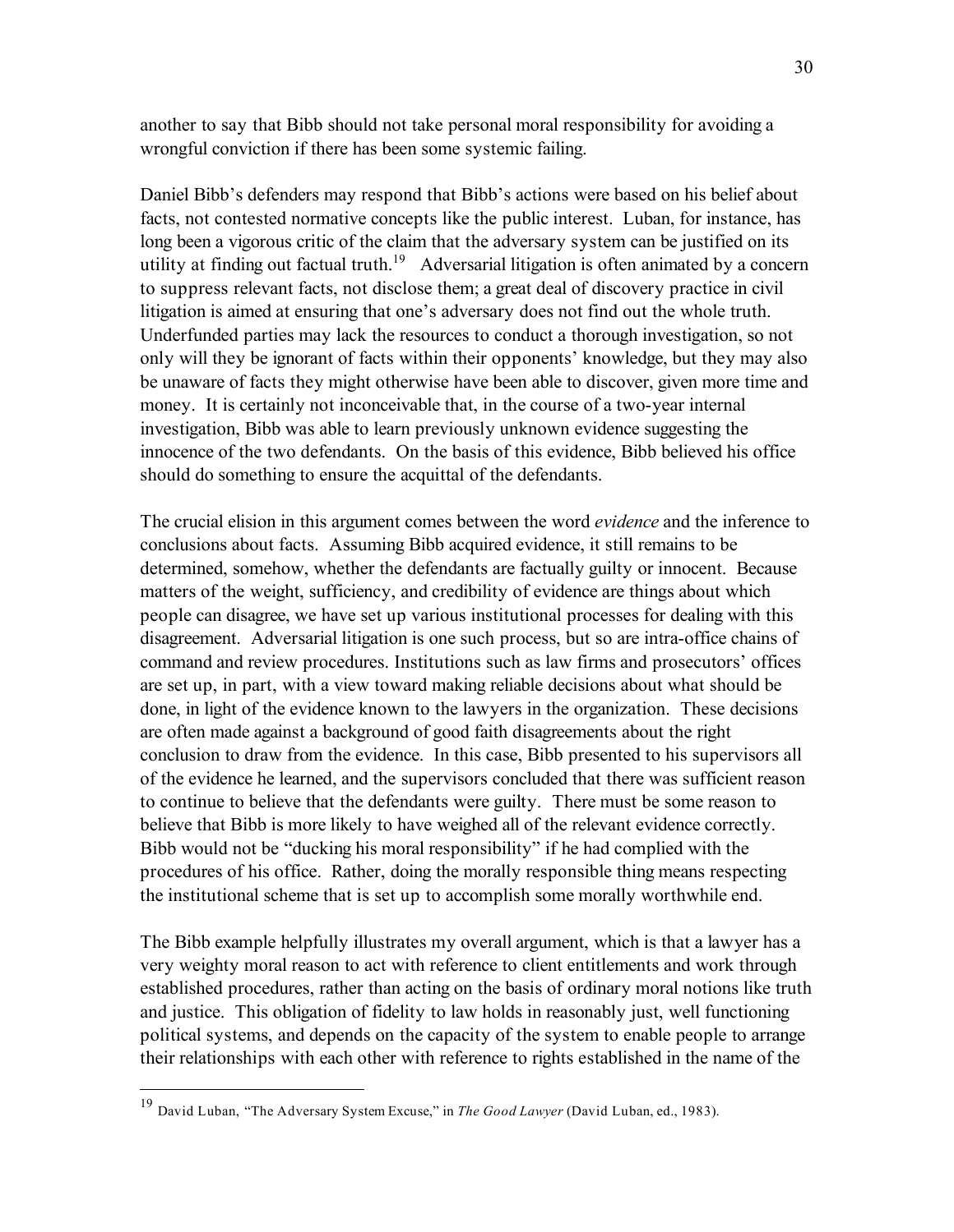another to say that Bibb should not take personal moral responsibility for avoiding a wrongful conviction if there has been some systemic failing.

Daniel Bibb's defenders may respond that Bibb's actions were based on his belief about facts, not contested normative concepts like the public interest. Luban, for instance, has long been a vigorous critic of the claim that the adversary system can be justified on its utility at finding out factual truth.<sup>19</sup> Adversarial litigation is often animated by a concern to suppress relevant facts, not disclose them; a great deal of discovery practice in civil litigation is aimed at ensuring that one's adversary does not find out the whole truth. Underfunded parties may lack the resources to conduct a thorough investigation, so not only will they be ignorant of facts within their opponents' knowledge, but they may also be unaware of facts they might otherwise have been able to discover, given more time and money. It is certainly not inconceivable that, in the course of a two-year internal investigation, Bibb was able to learn previously unknown evidence suggesting the innocence of the two defendants. On the basis of this evidence, Bibb believed his office should do something to ensure the acquittal of the defendants.

The crucial elision in this argument comes between the word *evidence* and the inference to conclusions about facts. Assuming Bibb acquired evidence, it still remains to be determined, somehow, whether the defendants are factually guilty or innocent. Because matters of the weight, sufficiency, and credibility of evidence are things about which people can disagree, we have set up various institutional processes for dealing with this disagreement. Adversarial litigation is one such process, but so are intra-office chains of command and review procedures. Institutions such as law firms and prosecutors' offices are set up, in part, with a view toward making reliable decisions about what should be done, in light of the evidence known to the lawyers in the organization. These decisions are often made against a background of good faith disagreements about the right conclusion to draw from the evidence. In this case, Bibb presented to his supervisors all of the evidence he learned, and the supervisors concluded that there was sufficient reason to continue to believe that the defendants were guilty. There must be some reason to believe that Bibb is more likely to have weighed all of the relevant evidence correctly. Bibb would not be "ducking his moral responsibility" if he had complied with the procedures of his office. Rather, doing the morally responsible thing means respecting the institutional scheme that is set up to accomplish some morally worthwhile end.

The Bibb example helpfully illustrates my overall argument, which is that a lawyer has a very weighty moral reason to act with reference to client entitlements and work through established procedures, rather than acting on the basis of ordinary moral notions like truth and justice. This obligation of fidelity to law holds in reasonably just, well functioning political systems, and depends on the capacity of the system to enable people to arrange their relationships with each other with reference to rights established in the name of the

 <sup>19</sup> David Luban, "The Adversary System Excuse," in *The Good Lawyer* (David Luban, ed., 1983).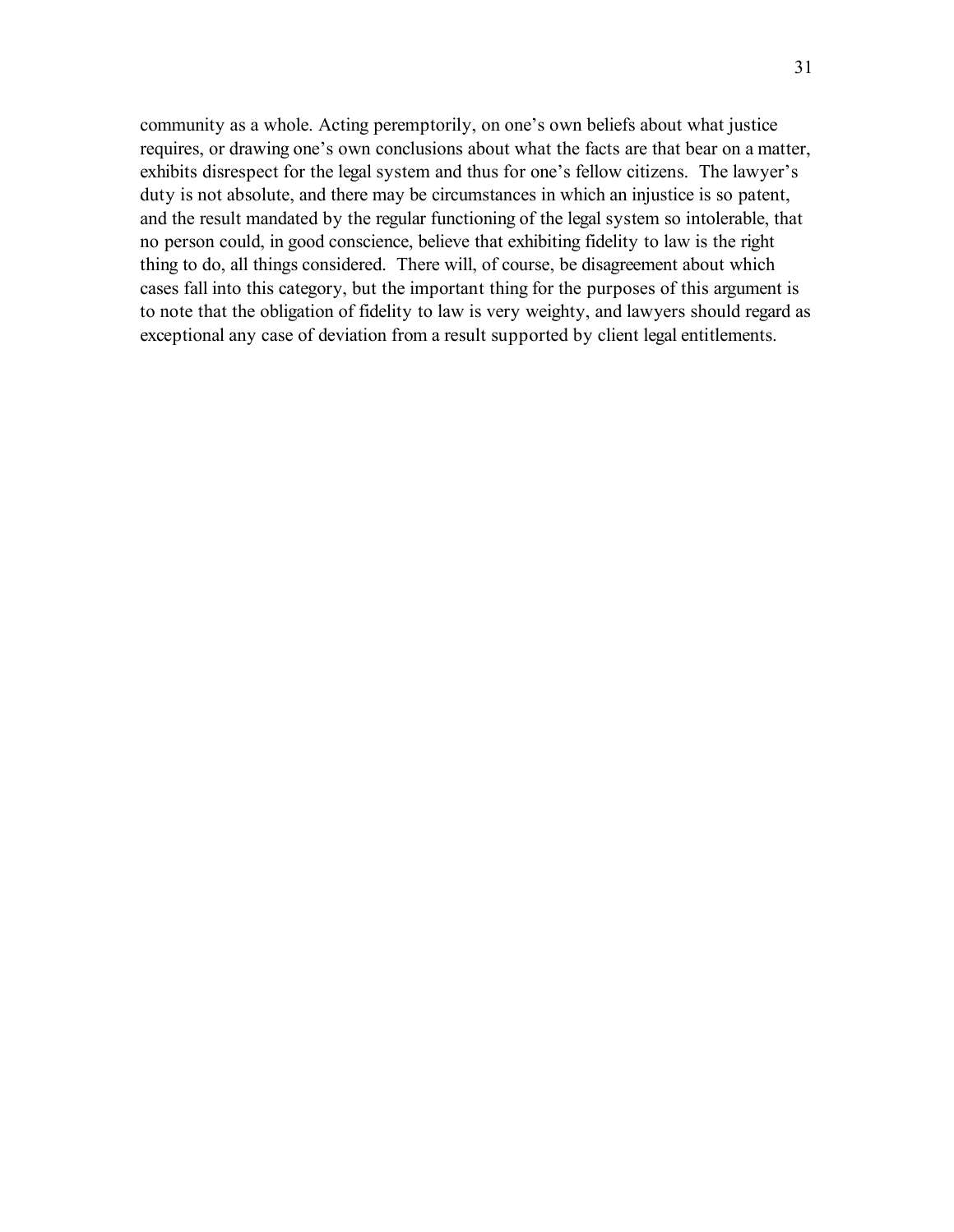community as a whole. Acting peremptorily, on one's own beliefs about what justice requires, or drawing one's own conclusions about what the facts are that bear on a matter, exhibits disrespect for the legal system and thus for one's fellow citizens. The lawyer's duty is not absolute, and there may be circumstances in which an injustice is so patent, and the result mandated by the regular functioning of the legal system so intolerable, that no person could, in good conscience, believe that exhibiting fidelity to law is the right thing to do, all things considered. There will, of course, be disagreement about which cases fall into this category, but the important thing for the purposes of this argument is to note that the obligation of fidelity to law is very weighty, and lawyers should regard as exceptional any case of deviation from a result supported by client legal entitlements.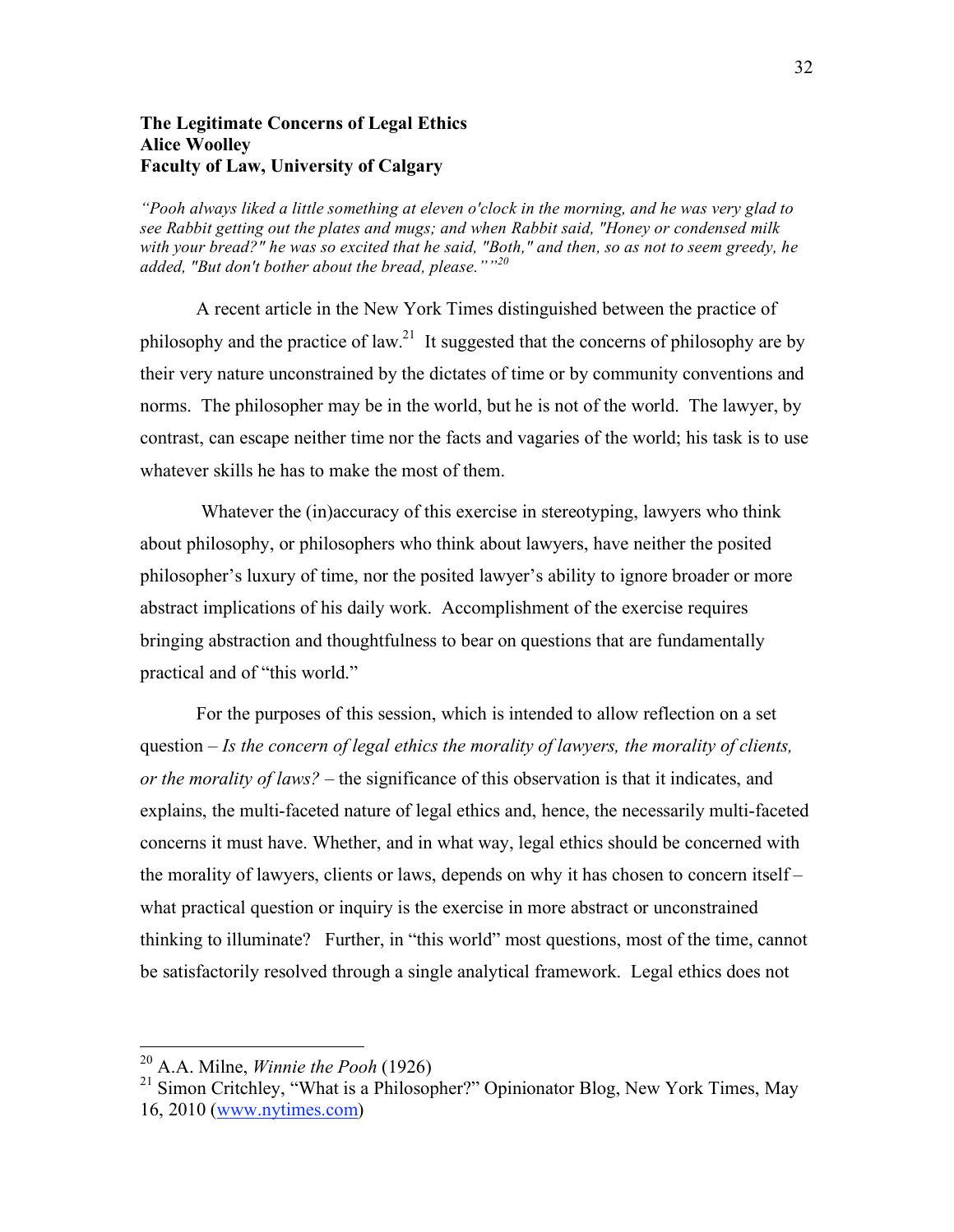# **The Legitimate Concerns of Legal Ethics Alice Woolley Faculty of Law, University of Calgary**

*"Pooh always liked a little something at eleven o'clock in the morning, and he was very glad to see Rabbit getting out the plates and mugs; and when Rabbit said, "Honey or condensed milk with your bread?" he was so excited that he said, "Both," and then, so as not to seem greedy, he added, "But don't bother about the bread, please.""<sup>20</sup>*

A recent article in the New York Times distinguished between the practice of philosophy and the practice of law.<sup>21</sup> It suggested that the concerns of philosophy are by their very nature unconstrained by the dictates of time or by community conventions and norms. The philosopher may be in the world, but he is not of the world. The lawyer, by contrast, can escape neither time nor the facts and vagaries of the world; his task is to use whatever skills he has to make the most of them.

 Whatever the (in)accuracy of this exercise in stereotyping, lawyers who think about philosophy, or philosophers who think about lawyers, have neither the posited philosopher's luxury of time, nor the posited lawyer's ability to ignore broader or more abstract implications of his daily work. Accomplishment of the exercise requires bringing abstraction and thoughtfulness to bear on questions that are fundamentally practical and of "this world."

For the purposes of this session, which is intended to allow reflection on a set question – *Is the concern of legal ethics the morality of lawyers, the morality of clients, or the morality of laws?* – the significance of this observation is that it indicates, and explains, the multi-faceted nature of legal ethics and, hence, the necessarily multi-faceted concerns it must have. Whether, and in what way, legal ethics should be concerned with the morality of lawyers, clients or laws, depends on why it has chosen to concern itself – what practical question or inquiry is the exercise in more abstract or unconstrained thinking to illuminate? Further, in "this world" most questions, most of the time, cannot be satisfactorily resolved through a single analytical framework. Legal ethics does not

 <sup>20</sup> A.A. Milne, *Winnie the Pooh* (1926)

 $21$  Simon Critchley, "What is a Philosopher?" Opinionator Blog, New York Times, May 16, 2010 (www.nytimes.com)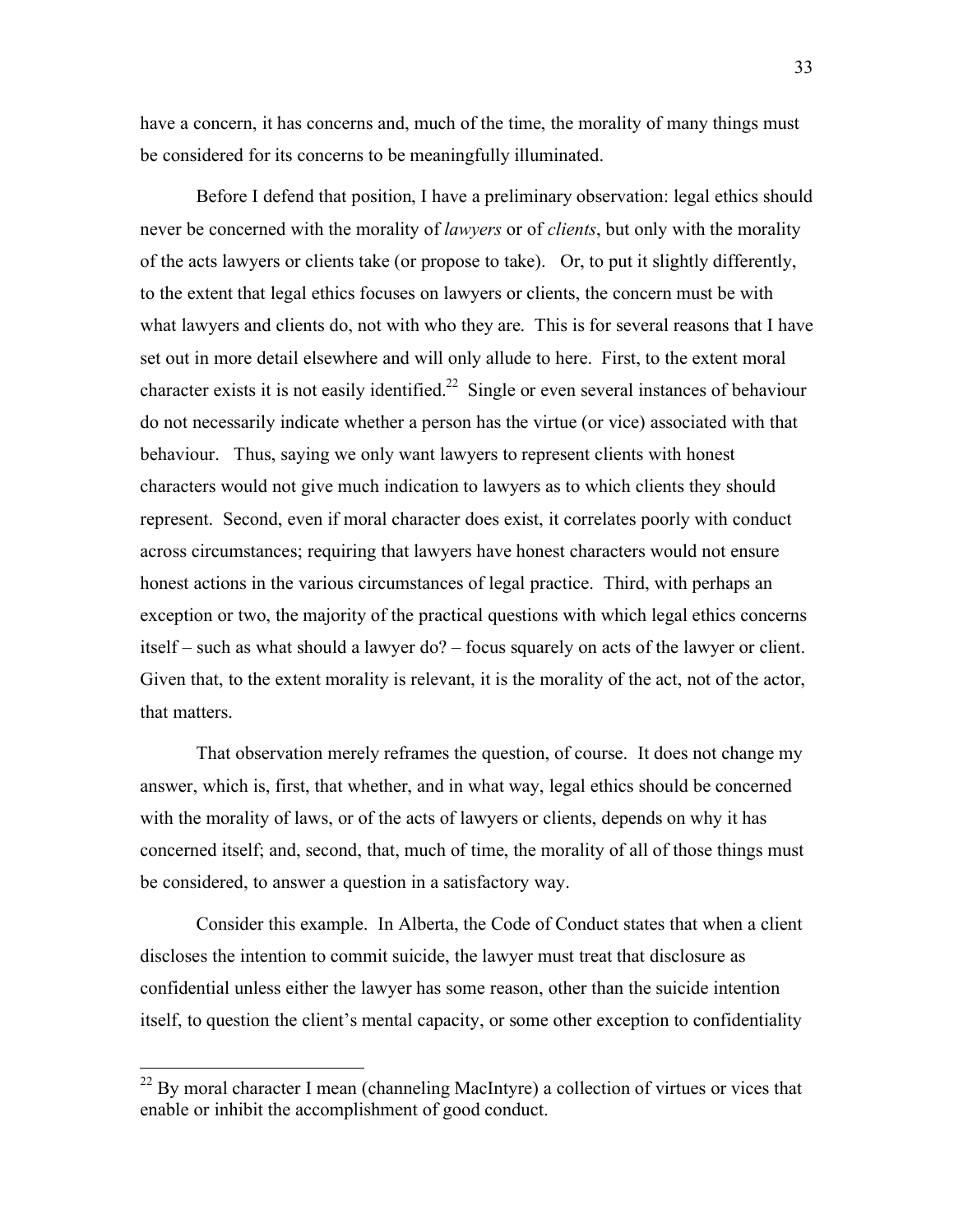have a concern, it has concerns and, much of the time, the morality of many things must be considered for its concerns to be meaningfully illuminated.

Before I defend that position, I have a preliminary observation: legal ethics should never be concerned with the morality of *lawyers* or of *clients*, but only with the morality of the acts lawyers or clients take (or propose to take). Or, to put it slightly differently, to the extent that legal ethics focuses on lawyers or clients, the concern must be with what lawyers and clients do, not with who they are. This is for several reasons that I have set out in more detail elsewhere and will only allude to here. First, to the extent moral character exists it is not easily identified.<sup>22</sup> Single or even several instances of behaviour do not necessarily indicate whether a person has the virtue (or vice) associated with that behaviour. Thus, saying we only want lawyers to represent clients with honest characters would not give much indication to lawyers as to which clients they should represent. Second, even if moral character does exist, it correlates poorly with conduct across circumstances; requiring that lawyers have honest characters would not ensure honest actions in the various circumstances of legal practice. Third, with perhaps an exception or two, the majority of the practical questions with which legal ethics concerns itself – such as what should a lawyer do? – focus squarely on acts of the lawyer or client. Given that, to the extent morality is relevant, it is the morality of the act, not of the actor, that matters.

That observation merely reframes the question, of course. It does not change my answer, which is, first, that whether, and in what way, legal ethics should be concerned with the morality of laws, or of the acts of lawyers or clients, depends on why it has concerned itself; and, second, that, much of time, the morality of all of those things must be considered, to answer a question in a satisfactory way.

Consider this example. In Alberta, the Code of Conduct states that when a client discloses the intention to commit suicide, the lawyer must treat that disclosure as confidential unless either the lawyer has some reason, other than the suicide intention itself, to question the client's mental capacity, or some other exception to confidentiality

 $^{22}$  By moral character I mean (channeling MacIntyre) a collection of virtues or vices that enable or inhibit the accomplishment of good conduct.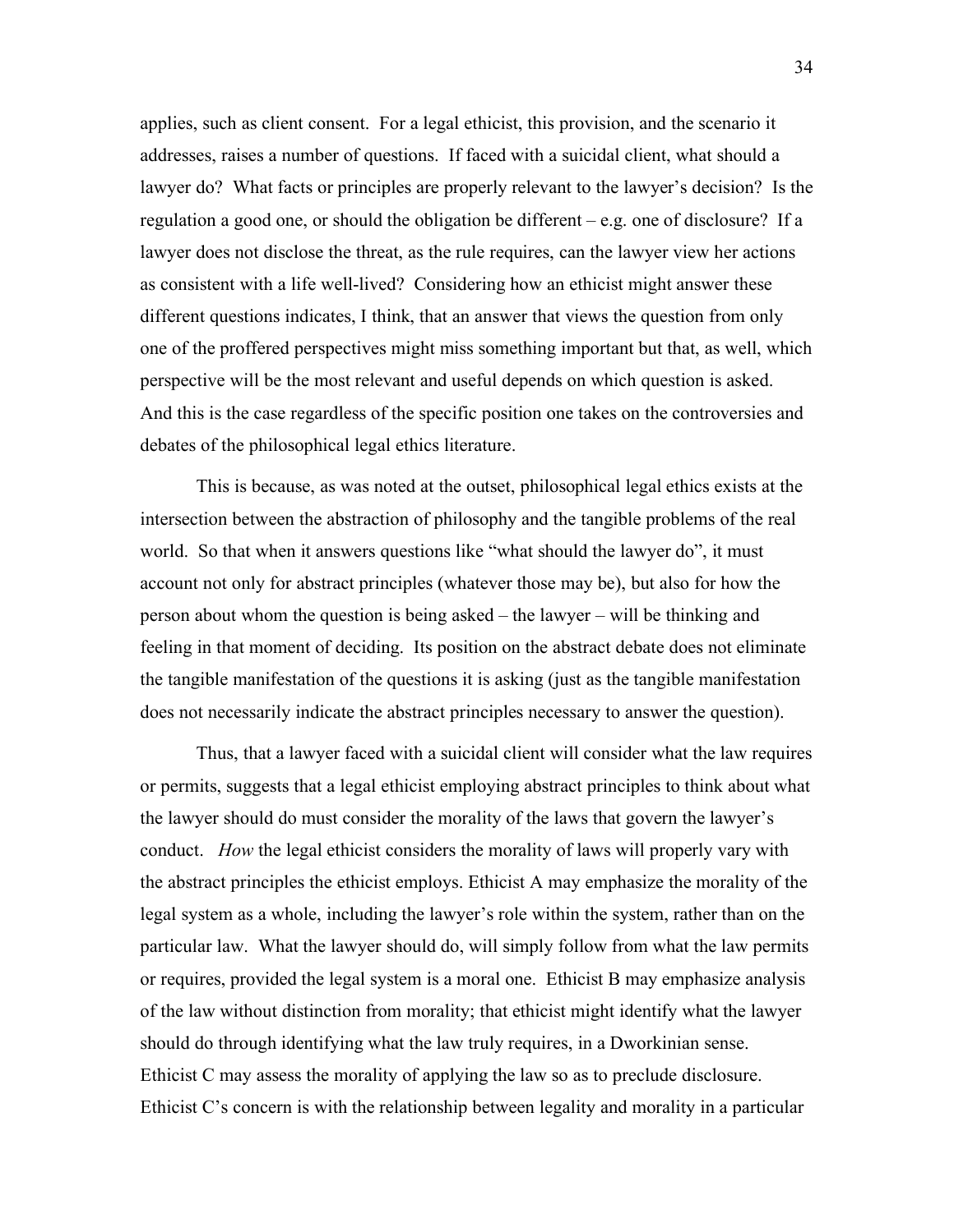applies, such as client consent. For a legal ethicist, this provision, and the scenario it addresses, raises a number of questions. If faced with a suicidal client, what should a lawyer do? What facts or principles are properly relevant to the lawyer's decision? Is the regulation a good one, or should the obligation be different – e.g. one of disclosure? If a lawyer does not disclose the threat, as the rule requires, can the lawyer view her actions as consistent with a life well-lived? Considering how an ethicist might answer these different questions indicates, I think, that an answer that views the question from only one of the proffered perspectives might miss something important but that, as well, which perspective will be the most relevant and useful depends on which question is asked. And this is the case regardless of the specific position one takes on the controversies and debates of the philosophical legal ethics literature.

This is because, as was noted at the outset, philosophical legal ethics exists at the intersection between the abstraction of philosophy and the tangible problems of the real world. So that when it answers questions like "what should the lawyer do", it must account not only for abstract principles (whatever those may be), but also for how the person about whom the question is being asked – the lawyer – will be thinking and feeling in that moment of deciding. Its position on the abstract debate does not eliminate the tangible manifestation of the questions it is asking (just as the tangible manifestation does not necessarily indicate the abstract principles necessary to answer the question).

Thus, that a lawyer faced with a suicidal client will consider what the law requires or permits, suggests that a legal ethicist employing abstract principles to think about what the lawyer should do must consider the morality of the laws that govern the lawyer's conduct. *How* the legal ethicist considers the morality of laws will properly vary with the abstract principles the ethicist employs. Ethicist A may emphasize the morality of the legal system as a whole, including the lawyer's role within the system, rather than on the particular law. What the lawyer should do, will simply follow from what the law permits or requires, provided the legal system is a moral one. Ethicist B may emphasize analysis of the law without distinction from morality; that ethicist might identify what the lawyer should do through identifying what the law truly requires, in a Dworkinian sense. Ethicist C may assess the morality of applying the law so as to preclude disclosure. Ethicist C's concern is with the relationship between legality and morality in a particular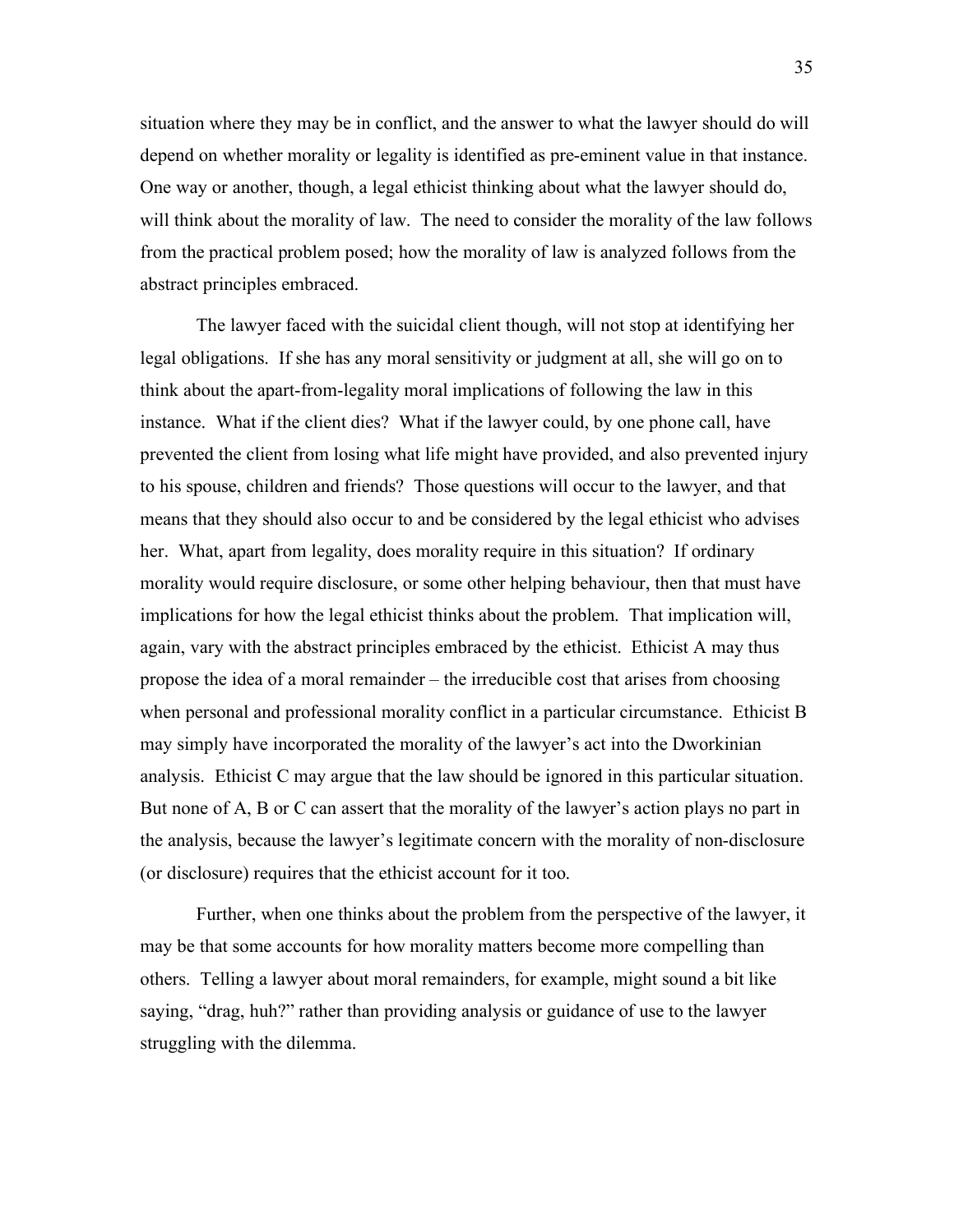situation where they may be in conflict, and the answer to what the lawyer should do will depend on whether morality or legality is identified as pre-eminent value in that instance. One way or another, though, a legal ethicist thinking about what the lawyer should do, will think about the morality of law. The need to consider the morality of the law follows from the practical problem posed; how the morality of law is analyzed follows from the abstract principles embraced.

The lawyer faced with the suicidal client though, will not stop at identifying her legal obligations. If she has any moral sensitivity or judgment at all, she will go on to think about the apart-from-legality moral implications of following the law in this instance. What if the client dies? What if the lawyer could, by one phone call, have prevented the client from losing what life might have provided, and also prevented injury to his spouse, children and friends? Those questions will occur to the lawyer, and that means that they should also occur to and be considered by the legal ethicist who advises her. What, apart from legality, does morality require in this situation? If ordinary morality would require disclosure, or some other helping behaviour, then that must have implications for how the legal ethicist thinks about the problem. That implication will, again, vary with the abstract principles embraced by the ethicist. Ethicist A may thus propose the idea of a moral remainder – the irreducible cost that arises from choosing when personal and professional morality conflict in a particular circumstance. Ethicist B may simply have incorporated the morality of the lawyer's act into the Dworkinian analysis. Ethicist C may argue that the law should be ignored in this particular situation. But none of A, B or C can assert that the morality of the lawyer's action plays no part in the analysis, because the lawyer's legitimate concern with the morality of non-disclosure (or disclosure) requires that the ethicist account for it too.

Further, when one thinks about the problem from the perspective of the lawyer, it may be that some accounts for how morality matters become more compelling than others. Telling a lawyer about moral remainders, for example, might sound a bit like saying, "drag, huh?" rather than providing analysis or guidance of use to the lawyer struggling with the dilemma.